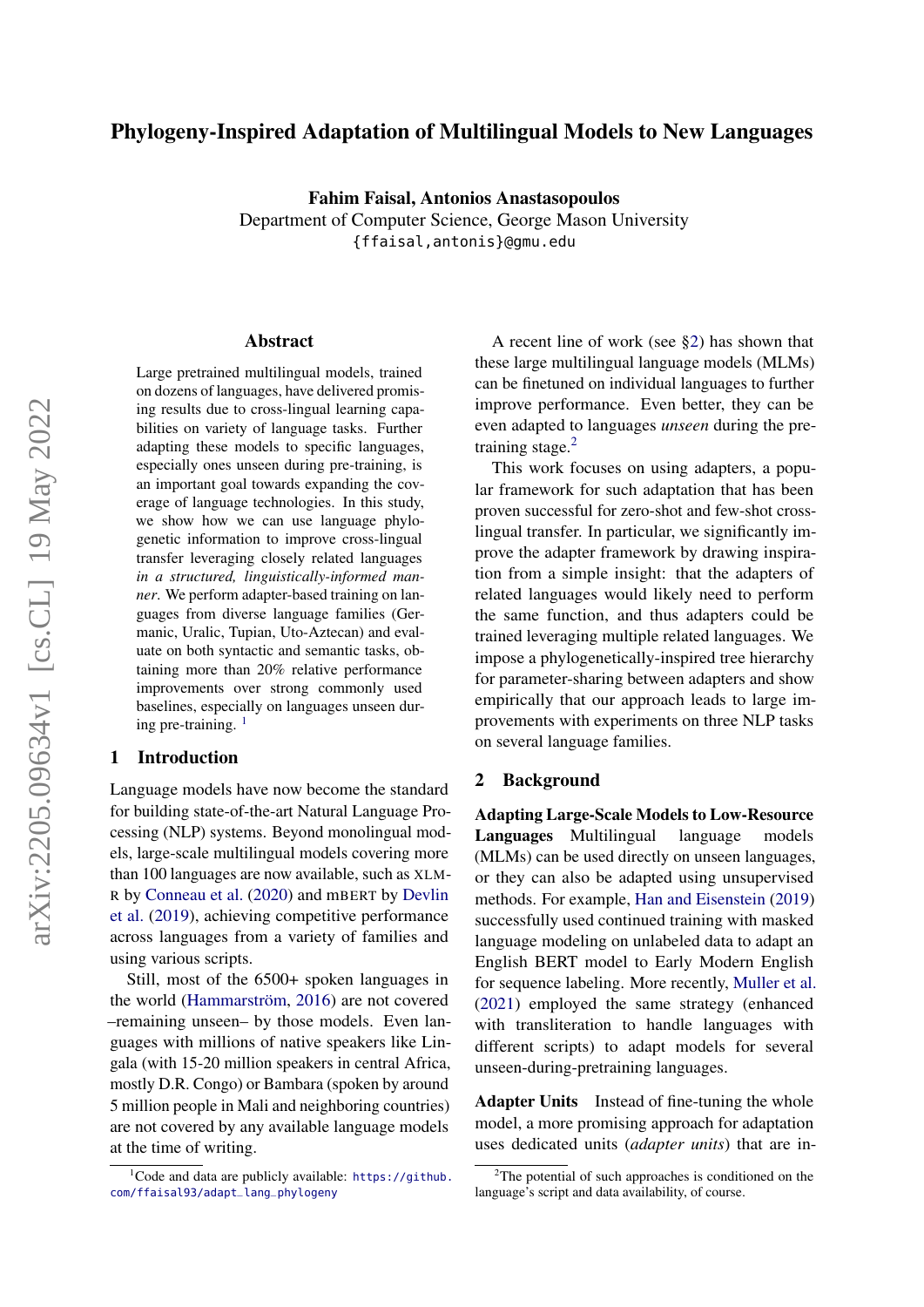# Phylogeny-Inspired Adaptation of Multilingual Models to New Languages

Fahim Faisal, Antonios Anastasopoulos Department of Computer Science, George Mason University {ffaisal,antonis}@gmu.edu

#### Abstract

Large pretrained multilingual models, trained on dozens of languages, have delivered promising results due to cross-lingual learning capabilities on variety of language tasks. Further adapting these models to specific languages, especially ones unseen during pre-training, is an important goal towards expanding the coverage of language technologies. In this study, we show how we can use language phylogenetic information to improve cross-lingual transfer leveraging closely related languages *in a structured, linguistically-informed manner*. We perform adapter-based training on languages from diverse language families (Germanic, Uralic, Tupian, Uto-Aztecan) and evaluate on both syntactic and semantic tasks, obtaining more than 20% relative performance improvements over strong commonly used baselines, especially on languages unseen during pre-training.  $<sup>1</sup>$  $<sup>1</sup>$  $<sup>1</sup>$ </sup>

### 1 Introduction

Language models have now become the standard for building state-of-the-art Natural Language Processing (NLP) systems. Beyond monolingual models, large-scale multilingual models covering more than 100 languages are now available, such as XLM-R by [Conneau et al.](#page-7-0) [\(2020\)](#page-7-0) and mBERT by [Devlin](#page-7-1) [et al.](#page-7-1) [\(2019\)](#page-7-1), achieving competitive performance across languages from a variety of families and using various scripts.

Still, most of the 6500+ spoken languages in the world [\(Hammarström,](#page-7-2) [2016\)](#page-7-2) are not covered –remaining unseen– by those models. Even languages with millions of native speakers like Lingala (with 15-20 million speakers in central Africa, mostly D.R. Congo) or Bambara (spoken by around 5 million people in Mali and neighboring countries) are not covered by any available language models at the time of writing.

A recent line of work (see [§2\)](#page-0-1) has shown that these large multilingual language models (MLMs) can be finetuned on individual languages to further improve performance. Even better, they can be even adapted to languages *unseen* during the pre-training stage.<sup>[2](#page-0-2)</sup>

This work focuses on using adapters, a popular framework for such adaptation that has been proven successful for zero-shot and few-shot crosslingual transfer. In particular, we significantly improve the adapter framework by drawing inspiration from a simple insight: that the adapters of related languages would likely need to perform the same function, and thus adapters could be trained leveraging multiple related languages. We impose a phylogenetically-inspired tree hierarchy for parameter-sharing between adapters and show empirically that our approach leads to large improvements with experiments on three NLP tasks on several language families.

### <span id="page-0-1"></span>2 Background

Adapting Large-Scale Models to Low-Resource Languages Multilingual language models (MLMs) can be used directly on unseen languages, or they can also be adapted using unsupervised methods. For example, [Han and Eisenstein](#page-7-3) [\(2019\)](#page-7-3) successfully used continued training with masked language modeling on unlabeled data to adapt an English BERT model to Early Modern English for sequence labeling. More recently, [Muller et al.](#page-7-4) [\(2021\)](#page-7-4) employed the same strategy (enhanced with transliteration to handle languages with different scripts) to adapt models for several unseen-during-pretraining languages.

Adapter Units Instead of fine-tuning the whole model, a more promising approach for adaptation uses dedicated units (*adapter units*) that are in-

<span id="page-0-0"></span> $1^1$ Code and data are publicly available: [https://github.](https://github.com/ffaisal93/adapt_lang_phylogeny) [com/ffaisal93/adapt\\_lang\\_phylogeny](https://github.com/ffaisal93/adapt_lang_phylogeny)

<span id="page-0-2"></span> $2$ The potential of such approaches is conditioned on the language's script and data availability, of course.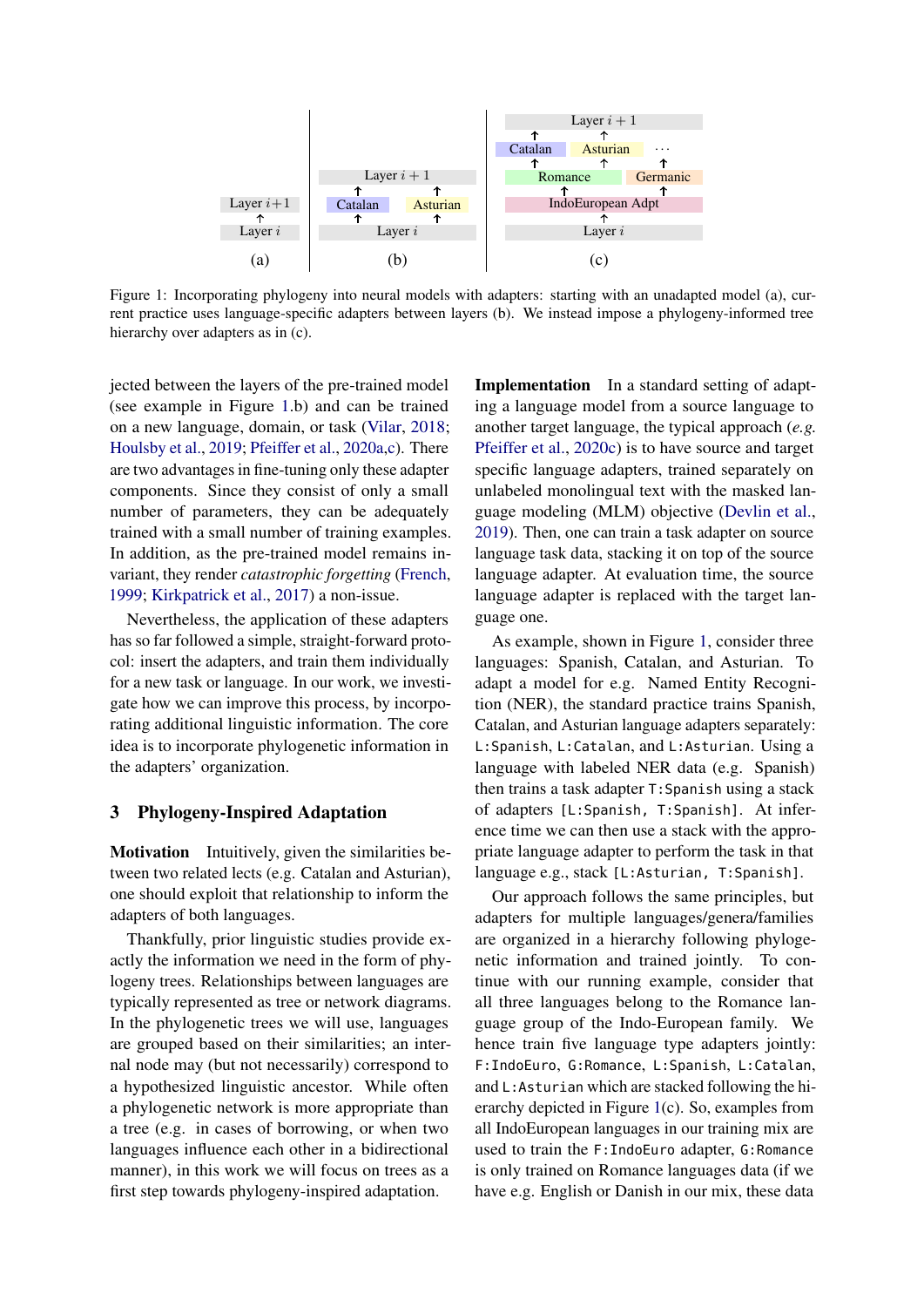<span id="page-1-0"></span>

Figure 1: Incorporating phylogeny into neural models with adapters: starting with an unadapted model (a), current practice uses language-specific adapters between layers (b). We instead impose a phylogeny-informed tree hierarchy over adapters as in (c).

jected between the layers of the pre-trained model (see example in Figure [1.](#page-1-0)b) and can be trained on a new language, domain, or task [\(Vilar,](#page-8-0) [2018;](#page-8-0) [Houlsby et al.,](#page-7-5) [2019;](#page-7-5) [Pfeiffer et al.,](#page-8-1) [2020a](#page-8-1)[,c\)](#page-8-2). There are two advantages in fine-tuning only these adapter components. Since they consist of only a small number of parameters, they can be adequately trained with a small number of training examples. In addition, as the pre-trained model remains invariant, they render *catastrophic forgetting* [\(French,](#page-7-6) [1999;](#page-7-6) [Kirkpatrick et al.,](#page-7-7) [2017\)](#page-7-7) a non-issue.

Nevertheless, the application of these adapters has so far followed a simple, straight-forward protocol: insert the adapters, and train them individually for a new task or language. In our work, we investigate how we can improve this process, by incorporating additional linguistic information. The core idea is to incorporate phylogenetic information in the adapters' organization.

## 3 Phylogeny-Inspired Adaptation

Motivation Intuitively, given the similarities between two related lects (e.g. Catalan and Asturian), one should exploit that relationship to inform the adapters of both languages.

Thankfully, prior linguistic studies provide exactly the information we need in the form of phylogeny trees. Relationships between languages are typically represented as tree or network diagrams. In the phylogenetic trees we will use, languages are grouped based on their similarities; an internal node may (but not necessarily) correspond to a hypothesized linguistic ancestor. While often a phylogenetic network is more appropriate than a tree (e.g. in cases of borrowing, or when two languages influence each other in a bidirectional manner), in this work we will focus on trees as a first step towards phylogeny-inspired adaptation.

Implementation In a standard setting of adapting a language model from a source language to another target language, the typical approach (*e.g.* [Pfeiffer et al.,](#page-8-2) [2020c\)](#page-8-2) is to have source and target specific language adapters, trained separately on unlabeled monolingual text with the masked language modeling (MLM) objective [\(Devlin et al.,](#page-7-1) [2019\)](#page-7-1). Then, one can train a task adapter on source language task data, stacking it on top of the source language adapter. At evaluation time, the source language adapter is replaced with the target language one.

As example, shown in Figure [1,](#page-1-0) consider three languages: Spanish, Catalan, and Asturian. To adapt a model for e.g. Named Entity Recognition (NER), the standard practice trains Spanish, Catalan, and Asturian language adapters separately: L:Spanish, L:Catalan, and L:Asturian. Using a language with labeled NER data (e.g. Spanish) then trains a task adapter T:Spanish using a stack of adapters [L:Spanish, T:Spanish]. At inference time we can then use a stack with the appropriate language adapter to perform the task in that language e.g., stack [L:Asturian, T:Spanish].

Our approach follows the same principles, but adapters for multiple languages/genera/families are organized in a hierarchy following phylogenetic information and trained jointly. To continue with our running example, consider that all three languages belong to the Romance language group of the Indo-European family. We hence train five language type adapters jointly: F:IndoEuro, G:Romance, L:Spanish, L:Catalan, and L:Asturian which are stacked following the hierarchy depicted in Figure [1\(](#page-1-0)c). So, examples from all IndoEuropean languages in our training mix are used to train the F:IndoEuro adapter, G:Romance is only trained on Romance languages data (if we have e.g. English or Danish in our mix, these data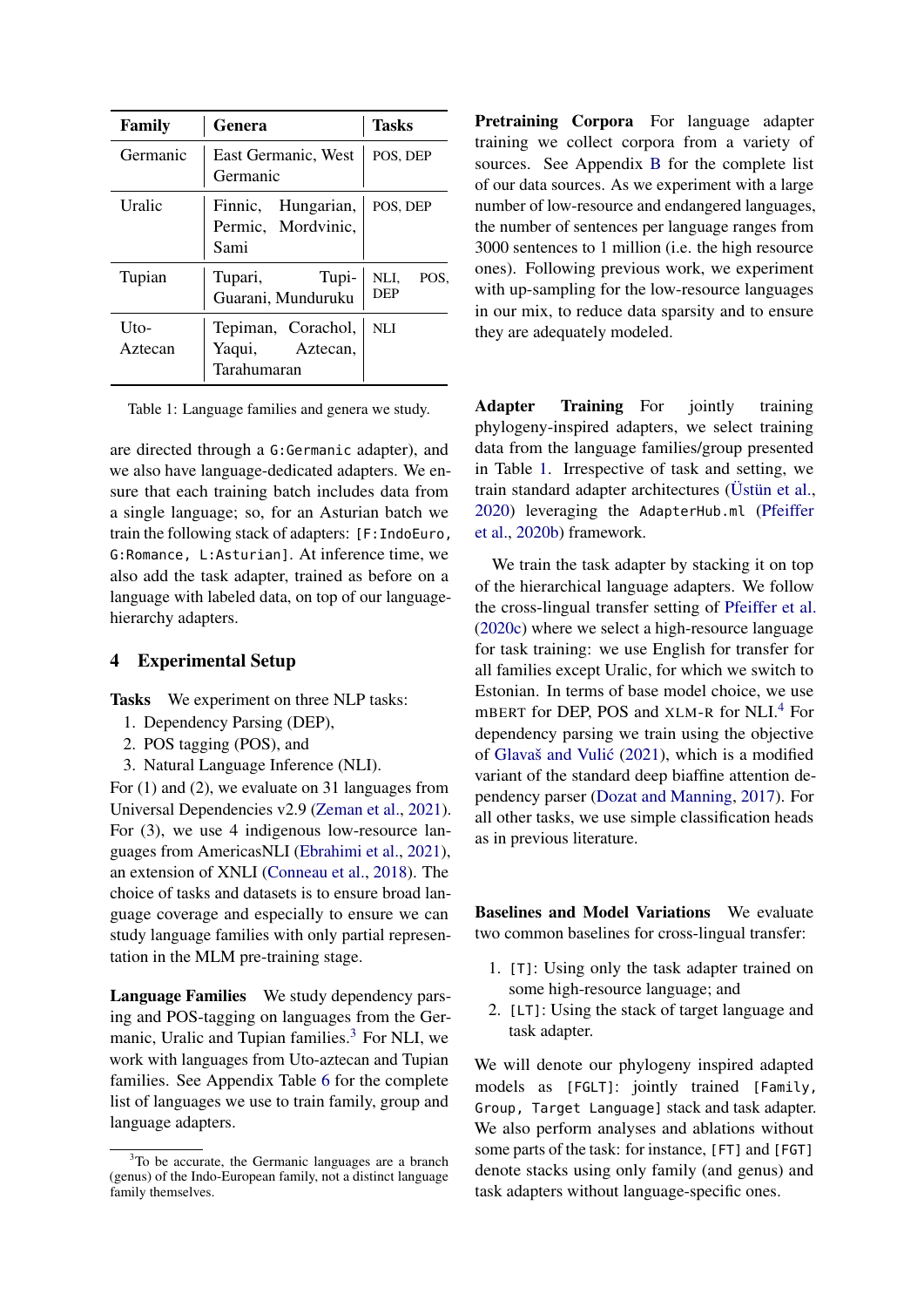<span id="page-2-1"></span>

| <b>Family</b>   | Genera                                               | <b>Tasks</b>        |
|-----------------|------------------------------------------------------|---------------------|
| Germanic        | East Germanic, West<br>Germanic                      | POS, DEP            |
| Uralic          | Finnic, Hungarian,<br>Permic, Mordvinic,<br>Sami     | POS, DEP            |
| Tupian          | Tupi-<br>Tupari,<br>Guarani, Munduruku               | NLI.<br>POS.<br>DEP |
| Uto-<br>Aztecan | Tepiman, Corachol,<br>Yaqui, Aztecan,<br>Tarahumaran | <b>NLI</b>          |

Table 1: Language families and genera we study.

are directed through a G:Germanic adapter), and we also have language-dedicated adapters. We ensure that each training batch includes data from a single language; so, for an Asturian batch we train the following stack of adapters: [F:IndoEuro, G:Romance, L:Asturian]. At inference time, we also add the task adapter, trained as before on a language with labeled data, on top of our languagehierarchy adapters.

### 4 Experimental Setup

Tasks We experiment on three NLP tasks:

- 1. Dependency Parsing (DEP),
- 2. POS tagging (POS), and
- 3. Natural Language Inference (NLI).

For (1) and (2), we evaluate on 31 languages from Universal Dependencies v2.9 [\(Zeman et al.,](#page-8-3) [2021\)](#page-8-3). For (3), we use 4 indigenous low-resource languages from AmericasNLI [\(Ebrahimi et al.,](#page-7-8) [2021\)](#page-7-8), an extension of XNLI [\(Conneau et al.,](#page-7-9) [2018\)](#page-7-9). The choice of tasks and datasets is to ensure broad language coverage and especially to ensure we can study language families with only partial representation in the MLM pre-training stage.

Language Families We study dependency parsing and POS-tagging on languages from the Ger-manic, Uralic and Tupian families.<sup>[3](#page-2-0)</sup> For NLI, we work with languages from Uto-aztecan and Tupian families. See Appendix Table [6](#page-10-0) for the complete list of languages we use to train family, group and language adapters.

Pretraining Corpora For language adapter training we collect corpora from a variety of sources. See Appendix [B](#page-10-0) for the complete list of our data sources. As we experiment with a large number of low-resource and endangered languages, the number of sentences per language ranges from 3000 sentences to 1 million (i.e. the high resource ones). Following previous work, we experiment with up-sampling for the low-resource languages in our mix, to reduce data sparsity and to ensure they are adequately modeled.

Adapter Training For jointly training phylogeny-inspired adapters, we select training data from the language families/group presented in Table [1.](#page-2-1) Irrespective of task and setting, we train standard adapter architectures [\(Üstün et al.,](#page-8-4) [2020\)](#page-8-4) leveraging the AdapterHub.ml [\(Pfeiffer](#page-8-5) [et al.,](#page-8-5) [2020b\)](#page-8-5) framework.

We train the task adapter by stacking it on top of the hierarchical language adapters. We follow the cross-lingual transfer setting of [Pfeiffer et al.](#page-8-2) [\(2020c\)](#page-8-2) where we select a high-resource language for task training: we use English for transfer for all families except Uralic, for which we switch to Estonian. In terms of base model choice, we use mBERT for DEP, POS and XLM-R for NLI.<sup>[4](#page-3-0)</sup> For dependency parsing we train using the objective of Glavaš and Vulić [\(2021\)](#page-7-10), which is a modified variant of the standard deep biaffine attention dependency parser [\(Dozat and Manning,](#page-7-11) [2017\)](#page-7-11). For all other tasks, we use simple classification heads as in previous literature.

Baselines and Model Variations We evaluate two common baselines for cross-lingual transfer:

- 1. [T]: Using only the task adapter trained on some high-resource language; and
- 2. [LT]: Using the stack of target language and task adapter.

We will denote our phylogeny inspired adapted models as [FGLT]: jointly trained [Family, Group, Target Language] stack and task adapter. We also perform analyses and ablations without some parts of the task: for instance, [FT] and [FGT] denote stacks using only family (and genus) and task adapters without language-specific ones.

<span id="page-2-0"></span><sup>&</sup>lt;sup>3</sup>To be accurate, the Germanic languages are a branch (genus) of the Indo-European family, not a distinct language family themselves.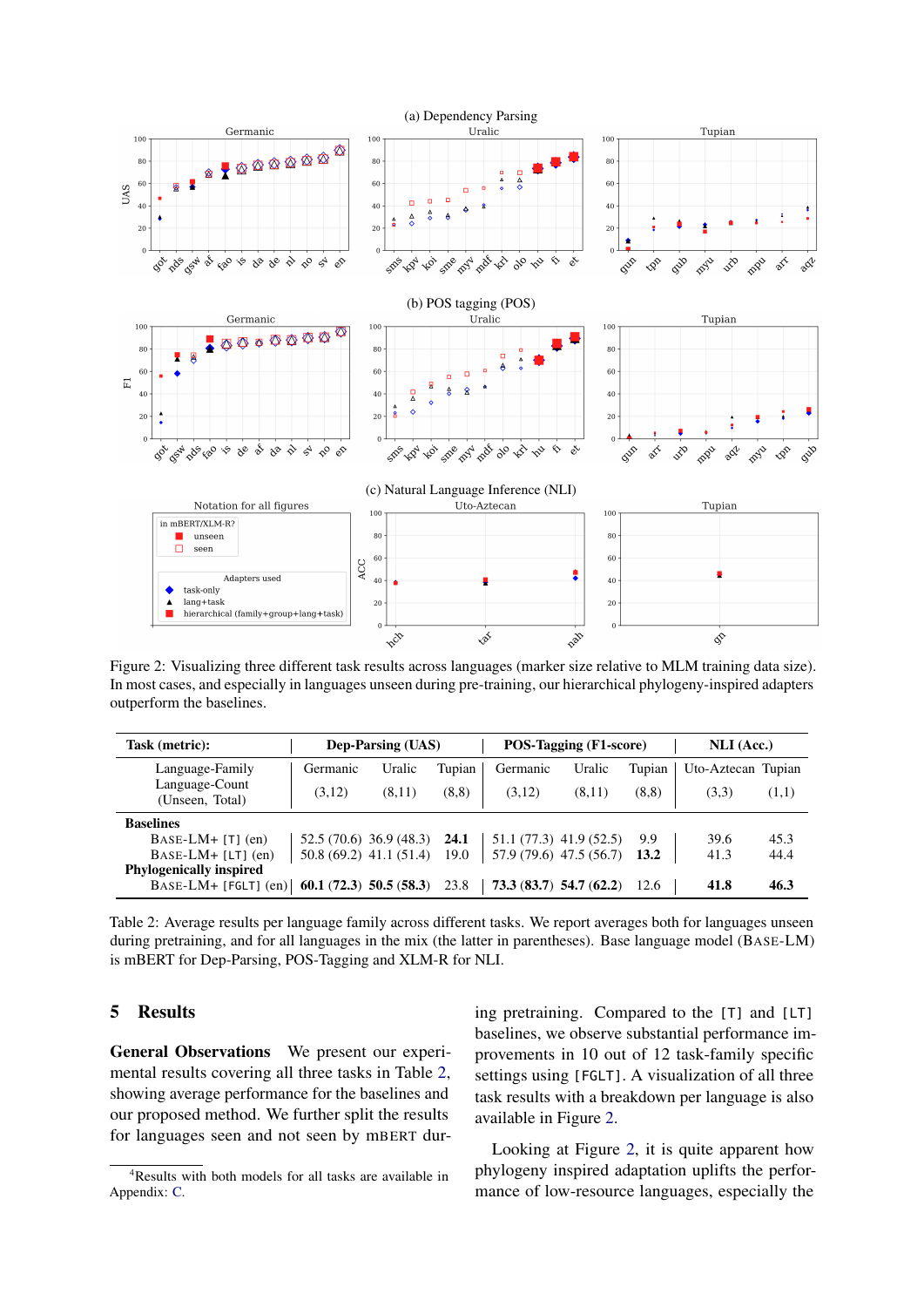<span id="page-3-2"></span>

Figure 2: Visualizing three different task results across languages (marker size relative to MLM training data size). In most cases, and especially in languages unseen during pre-training, our hierarchical phylogeny-inspired adapters outperform the baselines.

<span id="page-3-1"></span>

| Task (metric):                                       |                          | <b>Dep-Parsing (UAS)</b> |        |          | POS-Tagging (F1-score)   |        | NLI (Acc.)         |       |  |
|------------------------------------------------------|--------------------------|--------------------------|--------|----------|--------------------------|--------|--------------------|-------|--|
| Language-Family                                      | Germanic                 | Uralic                   | Tupian | Germanic | Uralic                   | Tupian | Uto-Aztecan Tupian |       |  |
| Language-Count<br>(Unseen, Total)                    | (3,12)                   | (8,11)                   | (8,8)  | (3,12)   | (8,11)                   | (8,8)  | (3,3)              | (1,1) |  |
| <b>Baselines</b>                                     |                          |                          |        |          |                          |        |                    |       |  |
| $BASE-LM+ [T] (en)$                                  |                          | 52.5(70.6)36.9(48.3)     | 24.1   |          | 51.1 (77.3) 41.9 (52.5)  | 9.9    | 39.6               | 45.3  |  |
| $BASE-LM+ [LT]$ (en)                                 | $50.8(69.2)$ 41.1 (51.4) |                          | 19.0   |          | 57.9 (79.6) 47.5 (56.7)  | 13.2   | 41.3               | 44.4  |  |
| <b>Phylogenically inspired</b>                       |                          |                          |        |          |                          |        |                    |       |  |
| BASE-LM+ [FGLT] (en) $\vert$ 60.1 (72.3) 50.5 (58.3) |                          |                          | 23.8   |          | $73.3(83.7)$ 54.7 (62.2) | 12.6   | 41.8               | 46.3  |  |

Table 2: Average results per language family across different tasks. We report averages both for languages unseen during pretraining, and for all languages in the mix (the latter in parentheses). Base language model (BASE-LM) is mBERT for Dep-Parsing, POS-Tagging and XLM-R for NLI.

### 5 Results

General Observations We present our experimental results covering all three tasks in Table [2,](#page-3-1) showing average performance for the baselines and our proposed method. We further split the results for languages seen and not seen by mBERT during pretraining. Compared to the [T] and [LT] baselines, we observe substantial performance improvements in 10 out of 12 task-family specific settings using [FGLT]. A visualization of all three task results with a breakdown per language is also available in Figure [2.](#page-3-2)

Looking at Figure [2,](#page-3-2) it is quite apparent how phylogeny inspired adaptation uplifts the performance of low-resource languages, especially the

<span id="page-3-0"></span><sup>&</sup>lt;sup>4</sup>Results with both models for all tasks are available in Appendix: [C.](#page-9-0)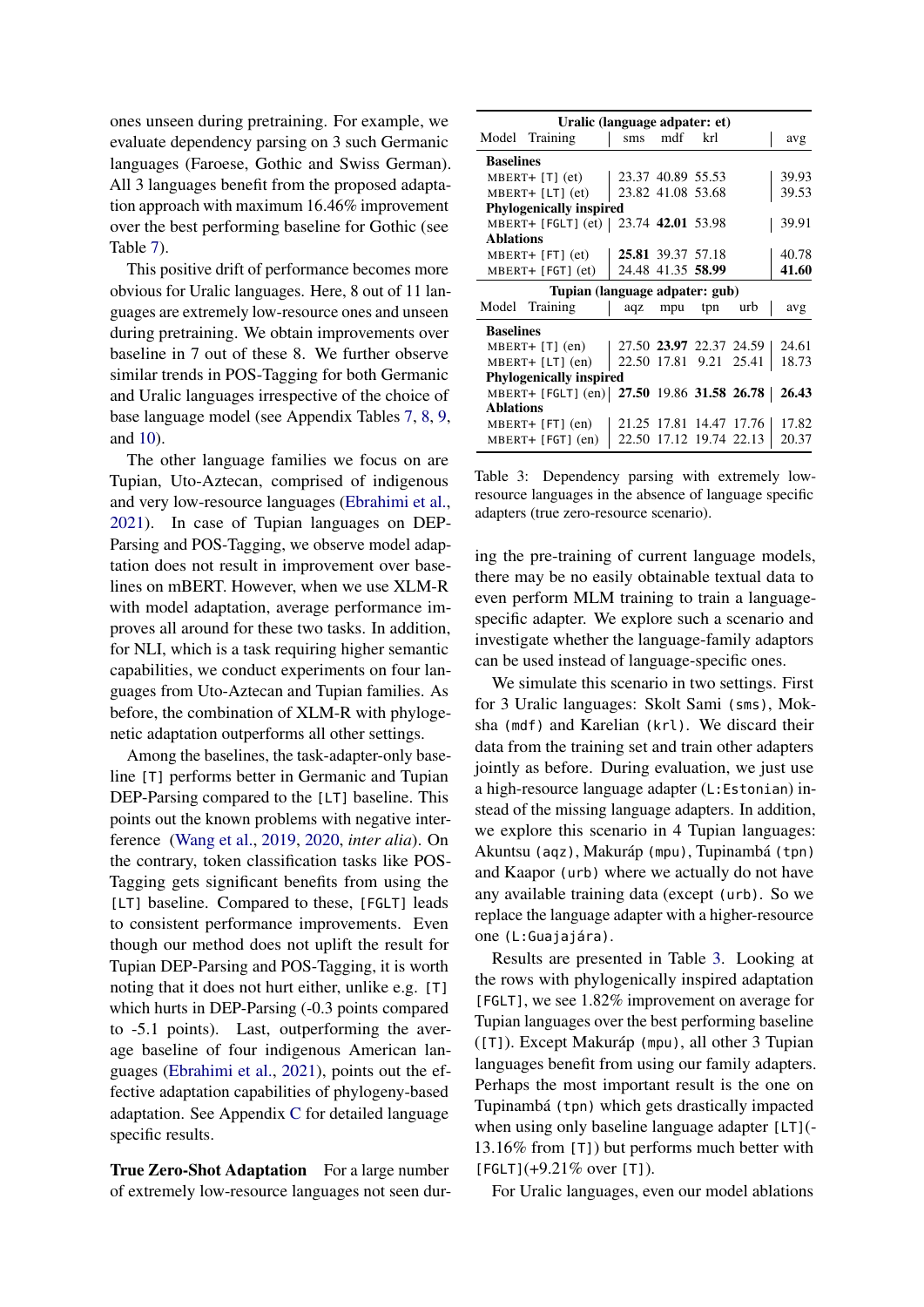ones unseen during pretraining. For example, we evaluate dependency parsing on 3 such Germanic languages (Faroese, Gothic and Swiss German). All 3 languages benefit from the proposed adaptation approach with maximum 16.46% improvement over the best performing baseline for Gothic (see Table [7\)](#page-11-0).

This positive drift of performance becomes more obvious for Uralic languages. Here, 8 out of 11 languages are extremely low-resource ones and unseen during pretraining. We obtain improvements over baseline in 7 out of these 8. We further observe similar trends in POS-Tagging for both Germanic and Uralic languages irrespective of the choice of base language model (see Appendix Tables [7,](#page-11-0) [8,](#page-12-0) [9,](#page-13-0) and [10\)](#page-14-0).

The other language families we focus on are Tupian, Uto-Aztecan, comprised of indigenous and very low-resource languages [\(Ebrahimi et al.,](#page-7-8) [2021\)](#page-7-8). In case of Tupian languages on DEP-Parsing and POS-Tagging, we observe model adaptation does not result in improvement over baselines on mBERT. However, when we use XLM-R with model adaptation, average performance improves all around for these two tasks. In addition, for NLI, which is a task requiring higher semantic capabilities, we conduct experiments on four languages from Uto-Aztecan and Tupian families. As before, the combination of XLM-R with phylogenetic adaptation outperforms all other settings.

Among the baselines, the task-adapter-only baseline [T] performs better in Germanic and Tupian DEP-Parsing compared to the [LT] baseline. This points out the known problems with negative interference [\(Wang et al.,](#page-8-6) [2019,](#page-8-6) [2020,](#page-8-7) *inter alia*). On the contrary, token classification tasks like POS-Tagging gets significant benefits from using the [LT] baseline. Compared to these, [FGLT] leads to consistent performance improvements. Even though our method does not uplift the result for Tupian DEP-Parsing and POS-Tagging, it is worth noting that it does not hurt either, unlike e.g. [T] which hurts in DEP-Parsing (-0.3 points compared to -5.1 points). Last, outperforming the average baseline of four indigenous American languages [\(Ebrahimi et al.,](#page-7-8) [2021\)](#page-7-8), points out the effective adaptation capabilities of phylogeny-based adaptation. See Appendix [C](#page-9-0) for detailed language specific results.

True Zero-Shot Adaptation For a large number of extremely low-resource languages not seen dur-

<span id="page-4-0"></span>

|                  | Uralic (language adpater: et)                    |                           |                   |                         |                         |       |
|------------------|--------------------------------------------------|---------------------------|-------------------|-------------------------|-------------------------|-------|
|                  | Model Training                                   | $\rm sms$                 | mdf               | krl                     |                         | avg   |
| <b>Baselines</b> |                                                  |                           |                   |                         |                         |       |
|                  | $MBERT+ [T] (et)$                                | $\vert$ 23.37 40.89 55.53 |                   |                         |                         | 39.93 |
|                  | MBERT+ [LT] (et)                                 | 23.82 41.08 53.68         |                   |                         |                         | 39.53 |
|                  | <b>Phylogenically inspired</b>                   |                           |                   |                         |                         |       |
|                  | MBERT+ [FGLT] (et)   23.74 42.01 53.98           |                           |                   |                         |                         | 39.91 |
| <b>Ablations</b> |                                                  |                           |                   |                         |                         |       |
|                  | $MBERT+ [FT] (et)$                               |                           | 25.81 39.37 57.18 |                         |                         | 40.78 |
|                  | $MBERT + [FGT] (et)$                             |                           | 24.48 41.35 58.99 |                         |                         | 41.60 |
|                  | Tupian (language adpater: gub)                   |                           |                   |                         |                         |       |
|                  | Model Training                                   |                           | aqz mpu           | tpn                     | urb                     | avg   |
| <b>Baselines</b> |                                                  |                           |                   |                         |                         |       |
|                  | $MBERT+$ [T] $(en)$                              | 27.50 23.97 22.37 24.59   |                   |                         |                         | 24.61 |
|                  | $MBERT + [LT]$ (en)                              | 22.50 17.81 9.21 25.41    |                   |                         |                         | 18.73 |
|                  | <b>Phylogenically inspired</b>                   |                           |                   |                         |                         |       |
|                  | MBERT+ [FGLT] (en) 27.50 19.86 31.58 26.78 26.43 |                           |                   |                         |                         |       |
| <b>Ablations</b> |                                                  |                           |                   |                         |                         |       |
|                  | $MBERT+ [FT] (en)$                               |                           |                   |                         | 21.25 17.81 14.47 17.76 | 17.82 |
|                  | $MBERT+ [FGT] (en)$                              |                           |                   | 22.50 17.12 19.74 22.13 |                         | 20.37 |

Table 3: Dependency parsing with extremely lowresource languages in the absence of language specific adapters (true zero-resource scenario).

ing the pre-training of current language models, there may be no easily obtainable textual data to even perform MLM training to train a languagespecific adapter. We explore such a scenario and investigate whether the language-family adaptors can be used instead of language-specific ones.

We simulate this scenario in two settings. First for 3 Uralic languages: Skolt Sami (sms), Moksha (mdf) and Karelian (krl). We discard their data from the training set and train other adapters jointly as before. During evaluation, we just use a high-resource language adapter (L:Estonian) instead of the missing language adapters. In addition, we explore this scenario in 4 Tupian languages: Akuntsu (aqz), Makuráp (mpu), Tupinambá (tpn) and Kaapor (urb) where we actually do not have any available training data (except (urb). So we replace the language adapter with a higher-resource one (L:Guajajára).

Results are presented in Table [3.](#page-4-0) Looking at the rows with phylogenically inspired adaptation [FGLT], we see 1.82% improvement on average for Tupian languages over the best performing baseline ([T]). Except Makuráp (mpu), all other 3 Tupian languages benefit from using our family adapters. Perhaps the most important result is the one on Tupinambá (tpn) which gets drastically impacted when using only baseline language adapter [LT](-13.16% from [T]) but performs much better with  $[FGLT]$ (+9.21% over [T]).

For Uralic languages, even our model ablations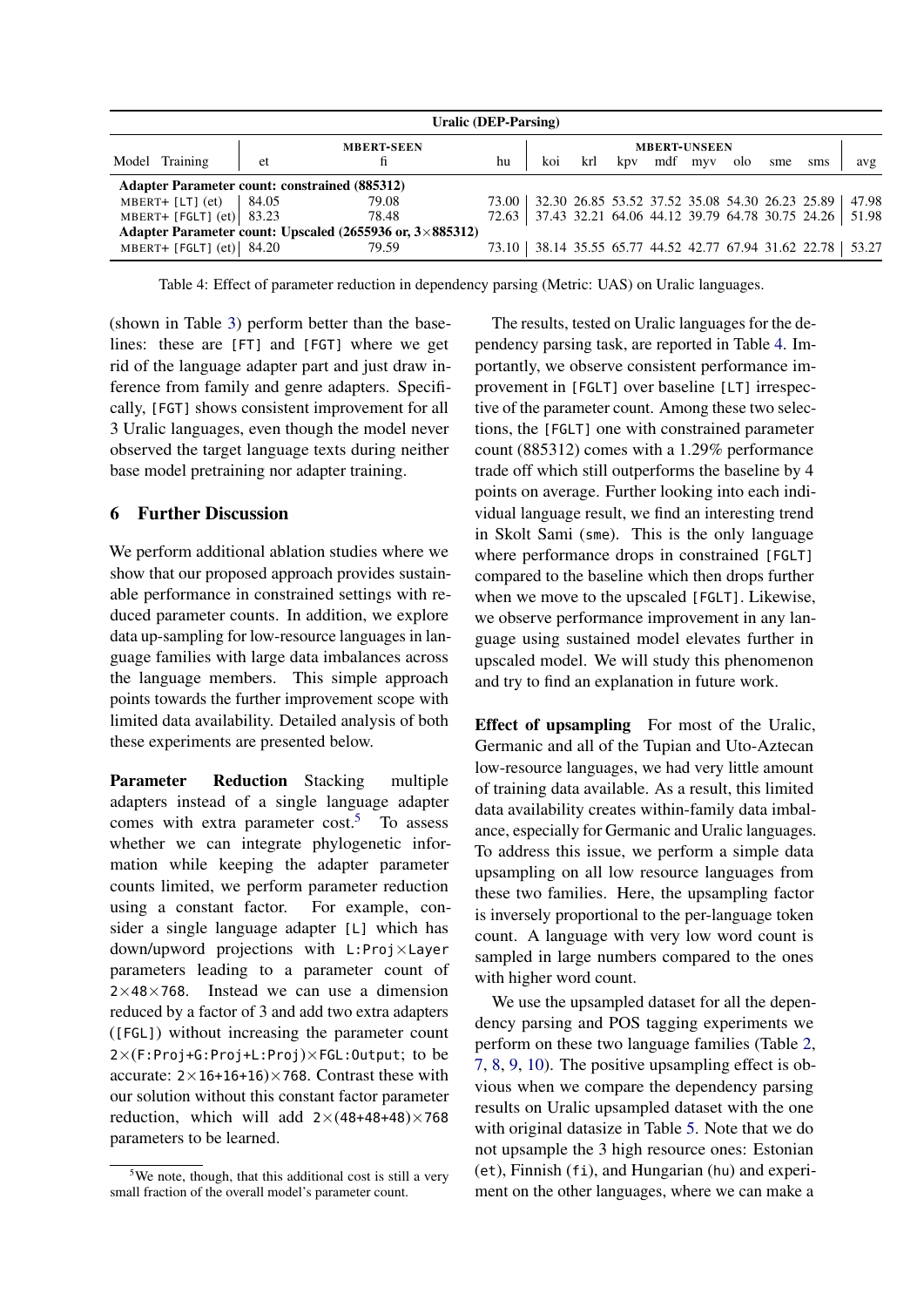<span id="page-5-1"></span>

|                             |    | Uralic (DEP-Parsing)                                                      |    |     |     |                     |     |     |                                                                 |       |
|-----------------------------|----|---------------------------------------------------------------------------|----|-----|-----|---------------------|-----|-----|-----------------------------------------------------------------|-------|
|                             |    | <b>MBERT-SEEN</b>                                                         |    |     |     | <b>MBERT-UNSEEN</b> |     |     |                                                                 |       |
| Model Training              | et | fi                                                                        | hu | koi | krl | kpy mdf myy         | olo | sme | sms                                                             | avg   |
|                             |    | <b>Adapter Parameter count: constrained (885312)</b>                      |    |     |     |                     |     |     |                                                                 |       |
| MBERT+ [LT] $ect$   84.05   |    | 79.08                                                                     |    |     |     |                     |     |     | 73.00   32.30 26.85 53.52 37.52 35.08 54.30 26.23 25.89         | 47.98 |
| MBERT+ [FGLT] $ect$ ] 83.23 |    | 78.48                                                                     |    |     |     |                     |     |     | 72.63   37.43 32.21 64.06 44.12 39.79 64.78 30.75 24.26         | 51.98 |
|                             |    | Adapter Parameter count: Upscaled $(2655936 \text{ or}, 3 \times 885312)$ |    |     |     |                     |     |     |                                                                 |       |
| MBERT+ [FGLT] $ect$ ] 84.20 |    | 79.59                                                                     |    |     |     |                     |     |     | 73.10   38.14 35.55 65.77 44.52 42.77 67.94 31.62 22.78   53.27 |       |

Table 4: Effect of parameter reduction in dependency parsing (Metric: UAS) on Uralic languages.

(shown in Table [3\)](#page-4-0) perform better than the baselines: these are [FT] and [FGT] where we get rid of the language adapter part and just draw inference from family and genre adapters. Specifically, [FGT] shows consistent improvement for all 3 Uralic languages, even though the model never observed the target language texts during neither base model pretraining nor adapter training.

### 6 Further Discussion

We perform additional ablation studies where we show that our proposed approach provides sustainable performance in constrained settings with reduced parameter counts. In addition, we explore data up-sampling for low-resource languages in language families with large data imbalances across the language members. This simple approach points towards the further improvement scope with limited data availability. Detailed analysis of both these experiments are presented below.

Parameter Reduction Stacking multiple adapters instead of a single language adapter comes with extra parameter  $cost<sup>5</sup>$  $cost<sup>5</sup>$  $cost<sup>5</sup>$  To assess whether we can integrate phylogenetic information while keeping the adapter parameter counts limited, we perform parameter reduction using a constant factor. For example, consider a single language adapter [L] which has down/upword projections with L:Proj×Layer parameters leading to a parameter count of  $2\times48\times768$ . Instead we can use a dimension reduced by a factor of 3 and add two extra adapters ([FGL]) without increasing the parameter count 2×(F:Proj+G:Proj+L:Proj)×FGL:Output; to be accurate:  $2 \times 16 + 16 + 16 \times 768$ . Contrast these with our solution without this constant factor parameter reduction, which will add  $2\times(48+48+48)\times768$ parameters to be learned.

The results, tested on Uralic languages for the dependency parsing task, are reported in Table [4.](#page-5-1) Importantly, we observe consistent performance improvement in [FGLT] over baseline [LT] irrespective of the parameter count. Among these two selections, the [FGLT] one with constrained parameter count (885312) comes with a 1.29% performance trade off which still outperforms the baseline by 4 points on average. Further looking into each individual language result, we find an interesting trend in Skolt Sami (sme). This is the only language where performance drops in constrained [FGLT] compared to the baseline which then drops further when we move to the upscaled [FGLT]. Likewise, we observe performance improvement in any language using sustained model elevates further in upscaled model. We will study this phenomenon and try to find an explanation in future work.

Effect of upsampling For most of the Uralic, Germanic and all of the Tupian and Uto-Aztecan low-resource languages, we had very little amount of training data available. As a result, this limited data availability creates within-family data imbalance, especially for Germanic and Uralic languages. To address this issue, we perform a simple data upsampling on all low resource languages from these two families. Here, the upsampling factor is inversely proportional to the per-language token count. A language with very low word count is sampled in large numbers compared to the ones with higher word count.

We use the upsampled dataset for all the dependency parsing and POS tagging experiments we perform on these two language families (Table [2,](#page-3-1) [7,](#page-11-0) [8,](#page-12-0) [9,](#page-13-0) [10\)](#page-14-0). The positive upsampling effect is obvious when we compare the dependency parsing results on Uralic upsampled dataset with the one with original datasize in Table [5.](#page-6-0) Note that we do not upsample the 3 high resource ones: Estonian (et), Finnish (fi), and Hungarian (hu) and experiment on the other languages, where we can make a

<span id="page-5-0"></span> $5$ We note, though, that this additional cost is still a very small fraction of the overall model's parameter count.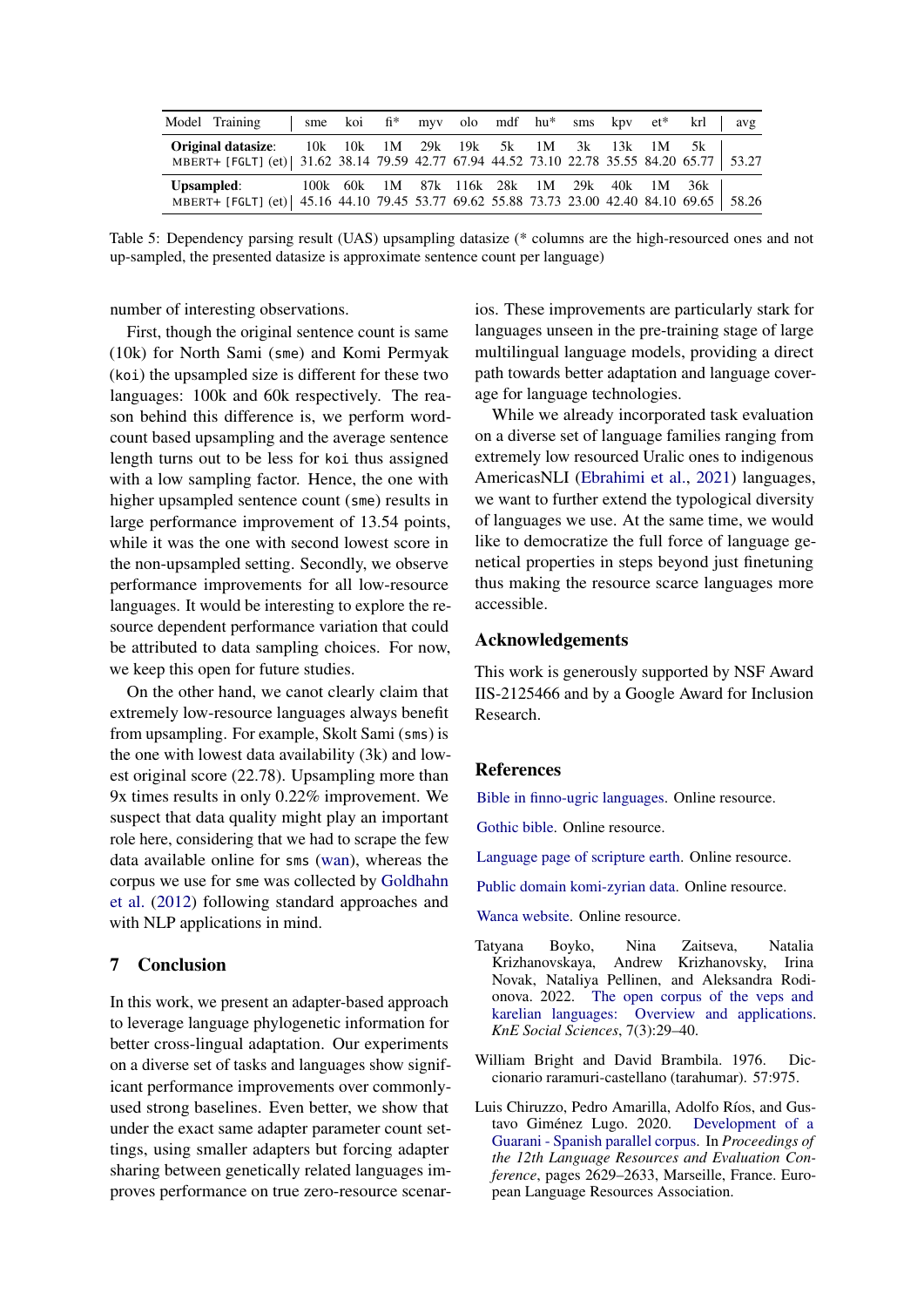<span id="page-6-0"></span>

|                   | Model Training                                                                                                          |                                       |  |  |  |  | sme koi fi* myv olo mdf hu* sms kpv et* krl | avg |
|-------------------|-------------------------------------------------------------------------------------------------------------------------|---------------------------------------|--|--|--|--|---------------------------------------------|-----|
|                   | <b>Original datasize:</b><br>MBERT+ [FGLT] (et) 31.62 38.14 79.59 42.77 67.94 44.52 73.10 22.78 35.55 84.20 65.77 53.27 | 10k 10k 1M 29k 19k 5k 1M 3k 13k 1M 5k |  |  |  |  |                                             |     |
| <b>Upsampled:</b> | MBERT+ [FGLT] (et)   45.16 44.10 79.45 53.77 69.62 55.88 73.73 23.00 42.40 84.10 69.65   58.26                          |                                       |  |  |  |  | 100k 60k 1M 87k 116k 28k 1M 29k 40k 1M 36k  |     |

Table 5: Dependency parsing result (UAS) upsampling datasize (\* columns are the high-resourced ones and not up-sampled, the presented datasize is approximate sentence count per language)

number of interesting observations.

First, though the original sentence count is same (10k) for North Sami (sme) and Komi Permyak (koi) the upsampled size is different for these two languages: 100k and 60k respectively. The reason behind this difference is, we perform wordcount based upsampling and the average sentence length turns out to be less for koi thus assigned with a low sampling factor. Hence, the one with higher upsampled sentence count (sme) results in large performance improvement of 13.54 points, while it was the one with second lowest score in the non-upsampled setting. Secondly, we observe performance improvements for all low-resource languages. It would be interesting to explore the resource dependent performance variation that could be attributed to data sampling choices. For now, we keep this open for future studies.

On the other hand, we canot clearly claim that extremely low-resource languages always benefit from upsampling. For example, Skolt Sami (sms) is the one with lowest data availability (3k) and lowest original score (22.78). Upsampling more than 9x times results in only 0.22% improvement. We suspect that data quality might play an important role here, considering that we had to scrape the few data available online for sms [\(wan\)](#page-6-1), whereas the corpus we use for sme was collected by [Goldhahn](#page-7-12) [et al.](#page-7-12) [\(2012\)](#page-7-12) following standard approaches and with NLP applications in mind.

### 7 Conclusion

In this work, we present an adapter-based approach to leverage language phylogenetic information for better cross-lingual adaptation. Our experiments on a diverse set of tasks and languages show significant performance improvements over commonlyused strong baselines. Even better, we show that under the exact same adapter parameter count settings, using smaller adapters but forcing adapter sharing between genetically related languages improves performance on true zero-resource scenarios. These improvements are particularly stark for languages unseen in the pre-training stage of large multilingual language models, providing a direct path towards better adaptation and language coverage for language technologies.

While we already incorporated task evaluation on a diverse set of language families ranging from extremely low resourced Uralic ones to indigenous AmericasNLI [\(Ebrahimi et al.,](#page-7-8) [2021\)](#page-7-8) languages, we want to further extend the typological diversity of languages we use. At the same time, we would like to democratize the full force of language genetical properties in steps beyond just finetuning thus making the resource scarce languages more accessible.

### Acknowledgements

This work is generously supported by NSF Award IIS-2125466 and by a Google Award for Inclusion Research.

#### References

<span id="page-6-5"></span>[Bible in finno-ugric languages.](http://finugorbib.com/download/DL_viena.html) Online resource.

<span id="page-6-2"></span>[Gothic bible.](http://www.wulfila.be/gothic/browse/) Online resource.

<span id="page-6-3"></span>[Language page of scripture earth.](https://scriptureearth.org/00i-Scripture_Index.php) Online resource.

<span id="page-6-7"></span>[Public domain komi-zyrian data.](https://github.com/langdoc/kpv-lit) Online resource.

<span id="page-6-1"></span>[Wanca website.](http://suki.ling.helsinki.fi/wanca/languages/18) Online resource.

- <span id="page-6-6"></span>Tatyana Boyko, Nina Zaitseva, Natalia Andrew Krizhanovsky, Irina Novak, Nataliya Pellinen, and Aleksandra Rodionova. 2022. [The open corpus of the veps and](https://doi.org/10.18502/kss.v7i3.10419) [karelian languages: Overview and applications.](https://doi.org/10.18502/kss.v7i3.10419) *KnE Social Sciences*, 7(3):29–40.
- <span id="page-6-8"></span>William Bright and David Brambila. 1976. Diccionario raramuri-castellano (tarahumar). 57:975.
- <span id="page-6-4"></span>Luis Chiruzzo, Pedro Amarilla, Adolfo Ríos, and Gustavo Giménez Lugo. 2020. [Development of a](https://aclanthology.org/2020.lrec-1.320) [Guarani - Spanish parallel corpus.](https://aclanthology.org/2020.lrec-1.320) In *Proceedings of the 12th Language Resources and Evaluation Conference*, pages 2629–2633, Marseille, France. European Language Resources Association.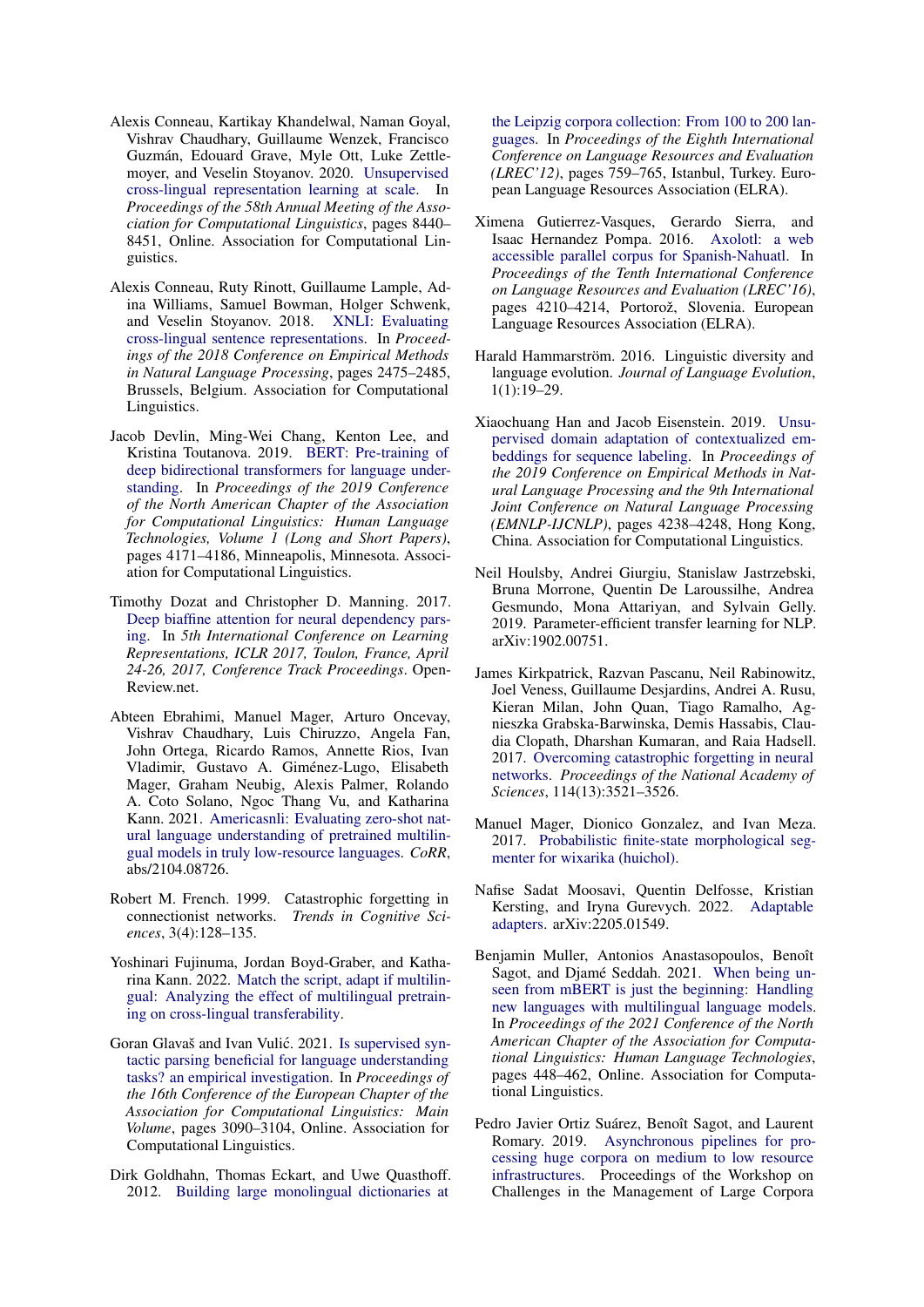- <span id="page-7-0"></span>Alexis Conneau, Kartikay Khandelwal, Naman Goyal, Vishrav Chaudhary, Guillaume Wenzek, Francisco Guzmán, Edouard Grave, Myle Ott, Luke Zettlemoyer, and Veselin Stoyanov. 2020. [Unsupervised](https://www.aclweb.org/anthology/2020.acl-main.747) [cross-lingual representation learning at scale.](https://www.aclweb.org/anthology/2020.acl-main.747) In *Proceedings of the 58th Annual Meeting of the Association for Computational Linguistics*, pages 8440– 8451, Online. Association for Computational Linguistics.
- <span id="page-7-9"></span>Alexis Conneau, Ruty Rinott, Guillaume Lample, Adina Williams, Samuel Bowman, Holger Schwenk, and Veselin Stoyanov. 2018. [XNLI: Evaluating](https://doi.org/10.18653/v1/D18-1269) [cross-lingual sentence representations.](https://doi.org/10.18653/v1/D18-1269) In *Proceedings of the 2018 Conference on Empirical Methods in Natural Language Processing*, pages 2475–2485, Brussels, Belgium. Association for Computational Linguistics.
- <span id="page-7-1"></span>Jacob Devlin, Ming-Wei Chang, Kenton Lee, and Kristina Toutanova. 2019. [BERT: Pre-training of](https://doi.org/10.18653/v1/N19-1423) [deep bidirectional transformers for language under](https://doi.org/10.18653/v1/N19-1423)[standing.](https://doi.org/10.18653/v1/N19-1423) In *Proceedings of the 2019 Conference of the North American Chapter of the Association for Computational Linguistics: Human Language Technologies, Volume 1 (Long and Short Papers)*, pages 4171–4186, Minneapolis, Minnesota. Association for Computational Linguistics.
- <span id="page-7-11"></span>Timothy Dozat and Christopher D. Manning. 2017. [Deep biaffine attention for neural dependency pars](https://openreview.net/forum?id=Hk95PK9le)[ing.](https://openreview.net/forum?id=Hk95PK9le) In *5th International Conference on Learning Representations, ICLR 2017, Toulon, France, April 24-26, 2017, Conference Track Proceedings*. Open-Review.net.
- <span id="page-7-8"></span>Abteen Ebrahimi, Manuel Mager, Arturo Oncevay, Vishrav Chaudhary, Luis Chiruzzo, Angela Fan, John Ortega, Ricardo Ramos, Annette Rios, Ivan Vladimir, Gustavo A. Giménez-Lugo, Elisabeth Mager, Graham Neubig, Alexis Palmer, Rolando A. Coto Solano, Ngoc Thang Vu, and Katharina Kann. 2021. [Americasnli: Evaluating zero-shot nat](http://arxiv.org/abs/2104.08726)[ural language understanding of pretrained multilin](http://arxiv.org/abs/2104.08726)[gual models in truly low-resource languages.](http://arxiv.org/abs/2104.08726) *CoRR*, abs/2104.08726.
- <span id="page-7-6"></span>Robert M. French. 1999. Catastrophic forgetting in connectionist networks. *Trends in Cognitive Sciences*, 3(4):128–135.
- <span id="page-7-13"></span>Yoshinari Fujinuma, Jordan Boyd-Graber, and Katharina Kann. 2022. [Match the script, adapt if multilin](https://doi.org/10.48550/ARXIV.2203.10753)[gual: Analyzing the effect of multilingual pretrain](https://doi.org/10.48550/ARXIV.2203.10753)[ing on cross-lingual transferability.](https://doi.org/10.48550/ARXIV.2203.10753)
- <span id="page-7-10"></span>Goran Glavaš and Ivan Vulić. 2021. [Is supervised syn](https://doi.org/10.18653/v1/2021.eacl-main.270)[tactic parsing beneficial for language understanding](https://doi.org/10.18653/v1/2021.eacl-main.270) [tasks? an empirical investigation.](https://doi.org/10.18653/v1/2021.eacl-main.270) In *Proceedings of the 16th Conference of the European Chapter of the Association for Computational Linguistics: Main Volume*, pages 3090–3104, Online. Association for Computational Linguistics.
- <span id="page-7-12"></span>Dirk Goldhahn, Thomas Eckart, and Uwe Quasthoff. 2012. [Building large monolingual dictionaries at](http://www.lrec-conf.org/proceedings/lrec2012/pdf/327_Paper.pdf)

[the Leipzig corpora collection: From 100 to 200 lan](http://www.lrec-conf.org/proceedings/lrec2012/pdf/327_Paper.pdf)[guages.](http://www.lrec-conf.org/proceedings/lrec2012/pdf/327_Paper.pdf) In *Proceedings of the Eighth International Conference on Language Resources and Evaluation (LREC'12)*, pages 759–765, Istanbul, Turkey. European Language Resources Association (ELRA).

- <span id="page-7-16"></span>Ximena Gutierrez-Vasques, Gerardo Sierra, and Isaac Hernandez Pompa. 2016. [Axolotl: a web](https://aclanthology.org/L16-1666) [accessible parallel corpus for Spanish-Nahuatl.](https://aclanthology.org/L16-1666) In *Proceedings of the Tenth International Conference on Language Resources and Evaluation (LREC'16)*, pages 4210–4214, Portorož, Slovenia. European Language Resources Association (ELRA).
- <span id="page-7-2"></span>Harald Hammarström. 2016. Linguistic diversity and language evolution. *Journal of Language Evolution*,  $1(1):19-29.$
- <span id="page-7-3"></span>Xiaochuang Han and Jacob Eisenstein. 2019. [Unsu](https://doi.org/10.18653/v1/D19-1433)[pervised domain adaptation of contextualized em](https://doi.org/10.18653/v1/D19-1433)[beddings for sequence labeling.](https://doi.org/10.18653/v1/D19-1433) In *Proceedings of the 2019 Conference on Empirical Methods in Natural Language Processing and the 9th International Joint Conference on Natural Language Processing (EMNLP-IJCNLP)*, pages 4238–4248, Hong Kong, China. Association for Computational Linguistics.
- <span id="page-7-5"></span>Neil Houlsby, Andrei Giurgiu, Stanislaw Jastrzebski, Bruna Morrone, Quentin De Laroussilhe, Andrea Gesmundo, Mona Attariyan, and Sylvain Gelly. 2019. Parameter-efficient transfer learning for NLP. arXiv:1902.00751.
- <span id="page-7-7"></span>James Kirkpatrick, Razvan Pascanu, Neil Rabinowitz, Joel Veness, Guillaume Desjardins, Andrei A. Rusu, Kieran Milan, John Quan, Tiago Ramalho, Agnieszka Grabska-Barwinska, Demis Hassabis, Claudia Clopath, Dharshan Kumaran, and Raia Hadsell. 2017. [Overcoming catastrophic forgetting in neural](https://doi.org/10.1073/pnas.1611835114) [networks.](https://doi.org/10.1073/pnas.1611835114) *Proceedings of the National Academy of Sciences*, 114(13):3521–3526.
- <span id="page-7-17"></span>Manuel Mager, Dionico Gonzalez, and Ivan Meza. 2017. [Probabilistic finite-state morphological seg](https://doi.org/10.13140/RG.2.2.29286.11845)[menter for wixarika \(huichol\).](https://doi.org/10.13140/RG.2.2.29286.11845)
- <span id="page-7-14"></span>Nafise Sadat Moosavi, Quentin Delfosse, Kristian Kersting, and Iryna Gurevych. 2022. [Adaptable](https://doi.org/10.48550/ARXIV.2205.01549) [adapters.](https://doi.org/10.48550/ARXIV.2205.01549) arXiv:2205.01549.
- <span id="page-7-4"></span>Benjamin Muller, Antonios Anastasopoulos, Benoît Sagot, and Djamé Seddah. 2021. [When being un](https://doi.org/10.18653/v1/2021.naacl-main.38)[seen from mBERT is just the beginning: Handling](https://doi.org/10.18653/v1/2021.naacl-main.38) [new languages with multilingual language models.](https://doi.org/10.18653/v1/2021.naacl-main.38) In *Proceedings of the 2021 Conference of the North American Chapter of the Association for Computational Linguistics: Human Language Technologies*, pages 448–462, Online. Association for Computational Linguistics.
- <span id="page-7-15"></span>Pedro Javier Ortiz Suárez, Benoît Sagot, and Laurent Romary. 2019. [Asynchronous pipelines for pro](https://doi.org/10.14618/ids-pub-9021)[cessing huge corpora on medium to low resource](https://doi.org/10.14618/ids-pub-9021) [infrastructures.](https://doi.org/10.14618/ids-pub-9021) Proceedings of the Workshop on Challenges in the Management of Large Corpora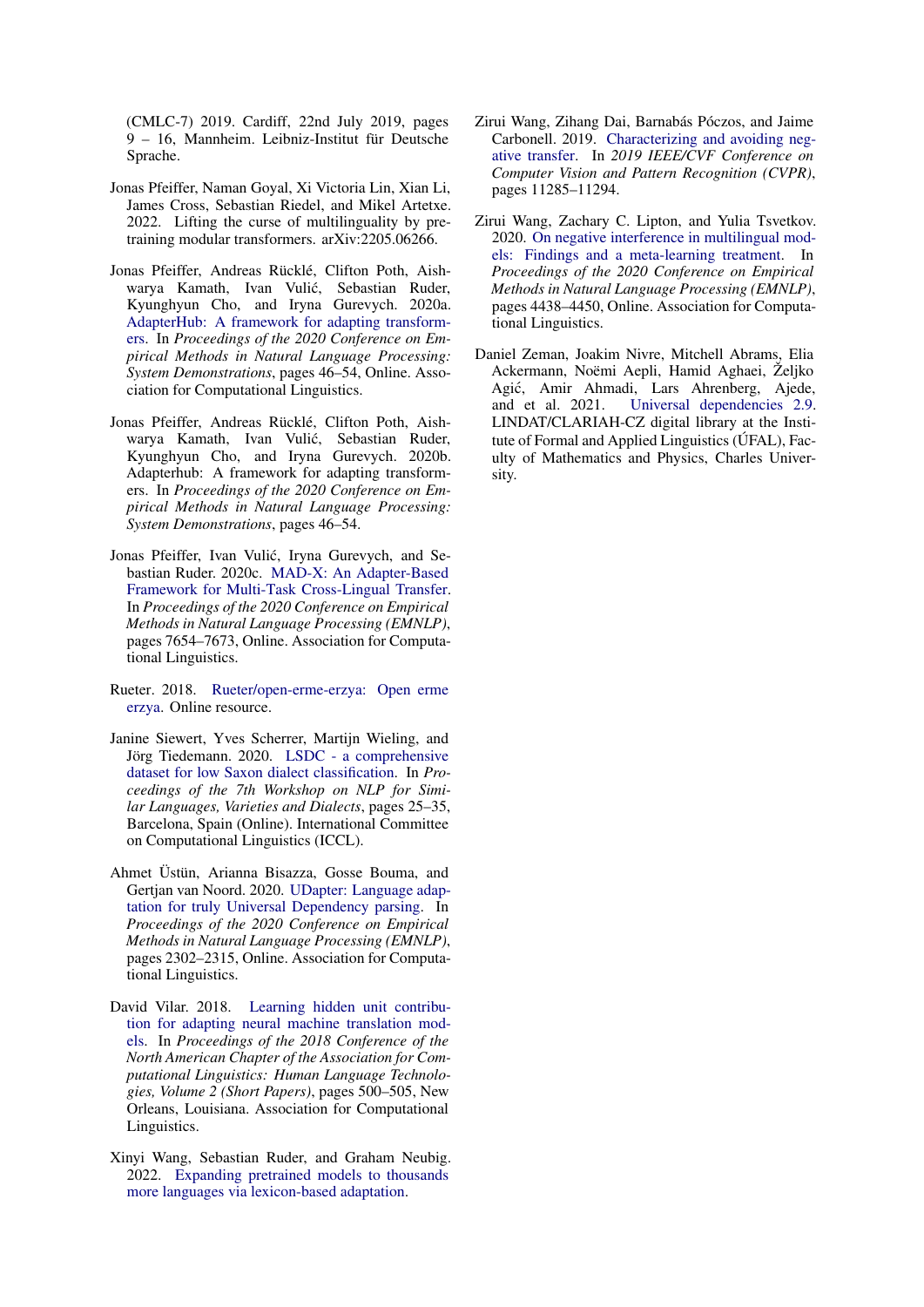(CMLC-7) 2019. Cardiff, 22nd July 2019, pages 9 – 16, Mannheim. Leibniz-Institut für Deutsche Sprache.

- <span id="page-8-9"></span>Jonas Pfeiffer, Naman Goyal, Xi Victoria Lin, Xian Li, James Cross, Sebastian Riedel, and Mikel Artetxe. 2022. Lifting the curse of multilinguality by pretraining modular transformers. arXiv:2205.06266.
- <span id="page-8-1"></span>Jonas Pfeiffer, Andreas Rücklé, Clifton Poth, Aishwarya Kamath, Ivan Vulic, Sebastian Ruder, ´ Kyunghyun Cho, and Iryna Gurevych. 2020a. [AdapterHub: A framework for adapting transform](https://doi.org/10.18653/v1/2020.emnlp-demos.7)[ers.](https://doi.org/10.18653/v1/2020.emnlp-demos.7) In *Proceedings of the 2020 Conference on Empirical Methods in Natural Language Processing: System Demonstrations*, pages 46–54, Online. Association for Computational Linguistics.
- <span id="page-8-5"></span>Jonas Pfeiffer, Andreas Rücklé, Clifton Poth, Aishwarya Kamath, Ivan Vulic, Sebastian Ruder, ´ Kyunghyun Cho, and Iryna Gurevych. 2020b. Adapterhub: A framework for adapting transformers. In *Proceedings of the 2020 Conference on Empirical Methods in Natural Language Processing: System Demonstrations*, pages 46–54.
- <span id="page-8-2"></span>Jonas Pfeiffer, Ivan Vulic, Iryna Gurevych, and Se- ´ bastian Ruder. 2020c. [MAD-X: An Adapter-Based](https://www.aclweb.org/anthology/2020.emnlp-main.617) [Framework for Multi-Task Cross-Lingual Transfer.](https://www.aclweb.org/anthology/2020.emnlp-main.617) In *Proceedings of the 2020 Conference on Empirical Methods in Natural Language Processing (EMNLP)*, pages 7654–7673, Online. Association for Computational Linguistics.
- <span id="page-8-11"></span>Rueter. 2018. [Rueter/open-erme-erzya: Open erme](https://doi.org/10.5281/ZENODO.1147963) [erzya.](https://doi.org/10.5281/ZENODO.1147963) Online resource.
- <span id="page-8-10"></span>Janine Siewert, Yves Scherrer, Martijn Wieling, and Jörg Tiedemann. 2020. [LSDC - a comprehensive](https://aclanthology.org/2020.vardial-1.3) [dataset for low Saxon dialect classification.](https://aclanthology.org/2020.vardial-1.3) In *Proceedings of the 7th Workshop on NLP for Similar Languages, Varieties and Dialects*, pages 25–35, Barcelona, Spain (Online). International Committee on Computational Linguistics (ICCL).
- <span id="page-8-4"></span>Ahmet Üstün, Arianna Bisazza, Gosse Bouma, and Gertjan van Noord. 2020. [UDapter: Language adap](https://doi.org/10.18653/v1/2020.emnlp-main.180)[tation for truly Universal Dependency parsing.](https://doi.org/10.18653/v1/2020.emnlp-main.180) In *Proceedings of the 2020 Conference on Empirical Methods in Natural Language Processing (EMNLP)*, pages 2302–2315, Online. Association for Computational Linguistics.
- <span id="page-8-0"></span>David Vilar. 2018. [Learning hidden unit contribu](https://doi.org/10.18653/v1/N18-2080)[tion for adapting neural machine translation mod](https://doi.org/10.18653/v1/N18-2080)[els.](https://doi.org/10.18653/v1/N18-2080) In *Proceedings of the 2018 Conference of the North American Chapter of the Association for Computational Linguistics: Human Language Technologies, Volume 2 (Short Papers)*, pages 500–505, New Orleans, Louisiana. Association for Computational Linguistics.
- <span id="page-8-8"></span>Xinyi Wang, Sebastian Ruder, and Graham Neubig. 2022. [Expanding pretrained models to thousands](https://doi.org/10.48550/ARXIV.2203.09435) [more languages via lexicon-based adaptation.](https://doi.org/10.48550/ARXIV.2203.09435)
- <span id="page-8-6"></span>Zirui Wang, Zihang Dai, Barnabás Póczos, and Jaime Carbonell. 2019. [Characterizing and avoiding neg](https://doi.org/10.1109/CVPR.2019.01155)[ative transfer.](https://doi.org/10.1109/CVPR.2019.01155) In *2019 IEEE/CVF Conference on Computer Vision and Pattern Recognition (CVPR)*, pages 11285–11294.
- <span id="page-8-7"></span>Zirui Wang, Zachary C. Lipton, and Yulia Tsvetkov. 2020. [On negative interference in multilingual mod](https://doi.org/10.18653/v1/2020.emnlp-main.359)[els: Findings and a meta-learning treatment.](https://doi.org/10.18653/v1/2020.emnlp-main.359) In *Proceedings of the 2020 Conference on Empirical Methods in Natural Language Processing (EMNLP)*, pages 4438–4450, Online. Association for Computational Linguistics.
- <span id="page-8-3"></span>Daniel Zeman, Joakim Nivre, Mitchell Abrams, Elia Ackermann, Noëmi Aepli, Hamid Aghaei, Željko Agić, Amir Ahmadi, Lars Ahrenberg, Ajede, and et al. 2021. Universal dependencies 2.9. [Universal dependencies 2.9.](http://hdl.handle.net/11234/1-4611) LINDAT/CLARIAH-CZ digital library at the Institute of Formal and Applied Linguistics (ÚFAL), Faculty of Mathematics and Physics, Charles University.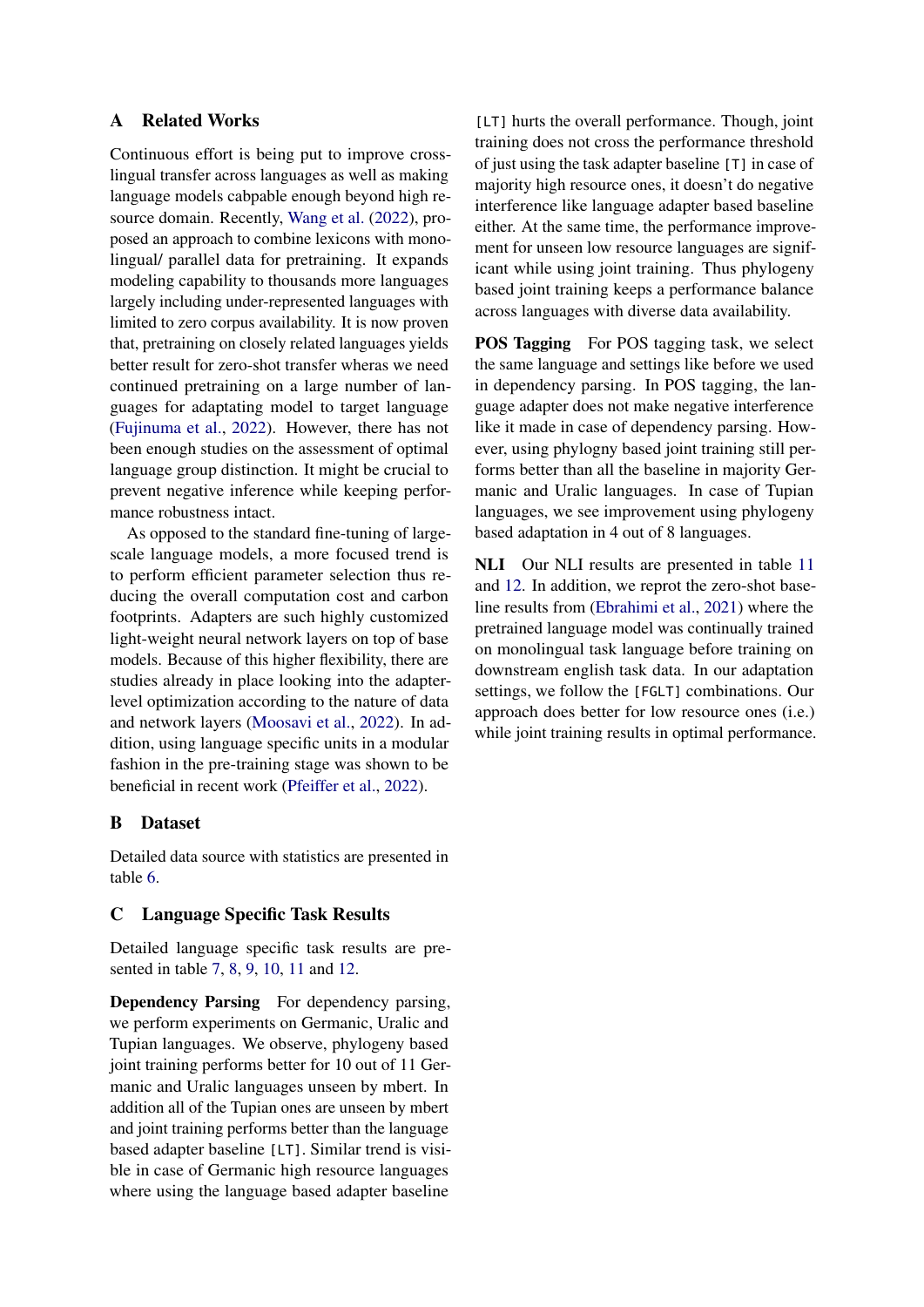# A Related Works

Continuous effort is being put to improve crosslingual transfer across languages as well as making language models cabpable enough beyond high resource domain. Recently, [Wang et al.](#page-8-8) [\(2022\)](#page-8-8), proposed an approach to combine lexicons with monolingual/ parallel data for pretraining. It expands modeling capability to thousands more languages largely including under-represented languages with limited to zero corpus availability. It is now proven that, pretraining on closely related languages yields better result for zero-shot transfer wheras we need continued pretraining on a large number of languages for adaptating model to target language [\(Fujinuma et al.,](#page-7-13) [2022\)](#page-7-13). However, there has not been enough studies on the assessment of optimal language group distinction. It might be crucial to prevent negative inference while keeping performance robustness intact.

As opposed to the standard fine-tuning of largescale language models, a more focused trend is to perform efficient parameter selection thus reducing the overall computation cost and carbon footprints. Adapters are such highly customized light-weight neural network layers on top of base models. Because of this higher flexibility, there are studies already in place looking into the adapterlevel optimization according to the nature of data and network layers [\(Moosavi et al.,](#page-7-14) [2022\)](#page-7-14). In addition, using language specific units in a modular fashion in the pre-training stage was shown to be beneficial in recent work [\(Pfeiffer et al.,](#page-8-9) [2022\)](#page-8-9).

# B Dataset

Detailed data source with statistics are presented in table [6.](#page-10-0)

### <span id="page-9-0"></span>C Language Specific Task Results

Detailed language specific task results are presented in table [7,](#page-11-0) [8,](#page-12-0) [9,](#page-13-0) [10,](#page-14-0) [11](#page-15-0) and [12.](#page-15-1)

Dependency Parsing For dependency parsing, we perform experiments on Germanic, Uralic and Tupian languages. We observe, phylogeny based joint training performs better for 10 out of 11 Germanic and Uralic languages unseen by mbert. In addition all of the Tupian ones are unseen by mbert and joint training performs better than the language based adapter baseline [LT]. Similar trend is visible in case of Germanic high resource languages where using the language based adapter baseline

[LT] hurts the overall performance. Though, joint training does not cross the performance threshold of just using the task adapter baseline [T] in case of majority high resource ones, it doesn't do negative interference like language adapter based baseline either. At the same time, the performance improvement for unseen low resource languages are significant while using joint training. Thus phylogeny based joint training keeps a performance balance across languages with diverse data availability.

**POS Tagging** For POS tagging task, we select the same language and settings like before we used in dependency parsing. In POS tagging, the language adapter does not make negative interference like it made in case of dependency parsing. However, using phylogny based joint training still performs better than all the baseline in majority Germanic and Uralic languages. In case of Tupian languages, we see improvement using phylogeny based adaptation in 4 out of 8 languages.

NLI Our NLI results are presented in table [11](#page-15-0) and [12.](#page-15-1) In addition, we reprot the zero-shot baseline results from [\(Ebrahimi et al.,](#page-7-8) [2021\)](#page-7-8) where the pretrained language model was continually trained on monolingual task language before training on downstream english task data. In our adaptation settings, we follow the [FGLT] combinations. Our approach does better for low resource ones (i.e.) while joint training results in optimal performance.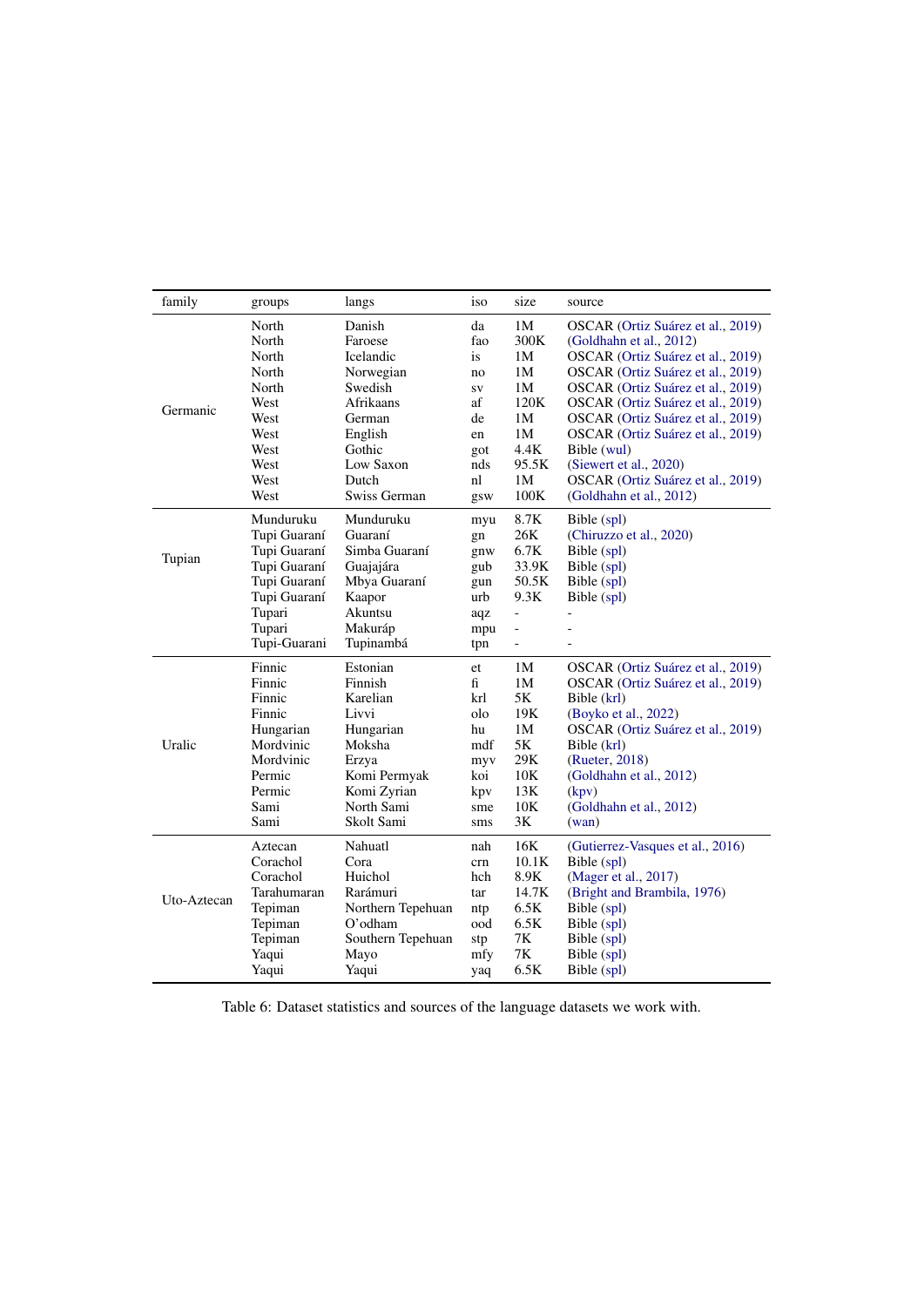<span id="page-10-0"></span>

| family      | groups       | langs             | iso        | size                     | source                            |
|-------------|--------------|-------------------|------------|--------------------------|-----------------------------------|
|             | North        | Danish            | da         | 1M                       | OSCAR (Ortiz Suárez et al., 2019) |
|             | North        | Faroese           | fao        | 300K                     | (Goldhahn et al., 2012)           |
|             | North        | Icelandic         | is         | 1M                       | OSCAR (Ortiz Suárez et al., 2019) |
|             | North        | Norwegian         | no         | 1M                       | OSCAR (Ortiz Suárez et al., 2019) |
|             | North        | Swedish           | SV         | 1M                       | OSCAR (Ortiz Suárez et al., 2019) |
| Germanic    | West         | Afrikaans         | af         | 120K                     | OSCAR (Ortiz Suárez et al., 2019) |
|             | West         | German            | de         | 1M<br>1M                 | OSCAR (Ortiz Suárez et al., 2019) |
|             | West<br>West | English<br>Gothic | en         | 4.4K                     | OSCAR (Ortiz Suárez et al., 2019) |
|             | West         | Low Saxon         | got<br>nds | 95.5K                    | Bible (wul)                       |
|             | West         | Dutch             | nl         | 1M                       | (Siewert et al., 2020)            |
|             | West         | Swiss German      |            | 100K                     | OSCAR (Ortiz Suárez et al., 2019) |
|             |              |                   | gsw        |                          | (Goldhahn et al., 2012)           |
|             | Munduruku    | Munduruku         | myu        | 8.7K                     | Bible (spl)                       |
|             | Tupi Guaraní | Guaraní           | gn         | 26K                      | (Chiruzzo et al., 2020)           |
| Tupian      | Tupi Guaraní | Simba Guaraní     | gnw        | 6.7K                     | Bible (spl)                       |
|             | Tupi Guaraní | Guajajára         | gub        | 33.9K                    | Bible (spl)                       |
|             | Tupi Guaraní | Mbya Guaraní      | gun        | 50.5K                    | Bible (spl)                       |
|             | Tupi Guaraní | Kaapor            | urb        | 9.3K                     | Bible (spl)                       |
|             | Tupari       | Akuntsu           | aqz        | $\overline{a}$           |                                   |
|             | Tupari       | Makuráp           | mpu        |                          |                                   |
|             | Tupi-Guarani | Tupinambá         | tpn        | $\overline{\phantom{0}}$ |                                   |
|             | Finnic       | Estonian          | et         | 1M                       | OSCAR (Ortiz Suárez et al., 2019) |
|             | Finnic       | Finnish           | fi         | 1M                       | OSCAR (Ortiz Suárez et al., 2019) |
|             | Finnic       | Karelian          | krl        | 5K                       | Bible (krl)                       |
|             | Finnic       | Livvi             | olo        | 19K                      | (Boyko et al., 2022)              |
|             | Hungarian    | Hungarian         | hu         | 1M                       | OSCAR (Ortiz Suárez et al., 2019) |
| Uralic      | Mordvinic    | Moksha            | mdf        | 5K                       | Bible (krl)                       |
|             | Mordvinic    | Erzya             | myv        | 29K                      | (Rueter, 2018)                    |
|             | Permic       | Komi Permyak      | koi        | 10K                      | (Goldhahn et al., 2012)           |
|             | Permic       | Komi Zyrian       | kpv        | 13K                      | (kpv)                             |
|             | Sami         | North Sami        | sme        | 10K                      | (Goldhahn et al., 2012)           |
|             | Sami         | Skolt Sami        | sms        | 3K                       | (wan)                             |
|             | Aztecan      | Nahuatl           | nah        | 16K                      | (Gutierrez-Vasques et al., 2016)  |
|             | Corachol     | Cora              | crn        | 10.1K                    | Bible (spl)                       |
|             | Corachol     | Huichol           | hch        | 8.9K                     | (Mager et al., 2017)              |
| Uto-Aztecan | Tarahumaran  | Rarámuri          | tar        | 14.7K                    | (Bright and Brambila, 1976)       |
|             | Tepiman      | Northern Tepehuan | ntp        | 6.5K                     | Bible (spl)                       |
|             | Tepiman      | O'odham           | ood        | 6.5K                     | Bible (spl)                       |
|             | Tepiman      | Southern Tepehuan | stp        | 7K                       | Bible (spl)                       |
|             | Yaqui        | Mayo              | mfy        | 7K                       | Bible (spl)                       |
|             | Yaqui        | Yaqui             | yaq        | 6.5K                     | Bible (spl)                       |

Table 6: Dataset statistics and sources of the language datasets we work with.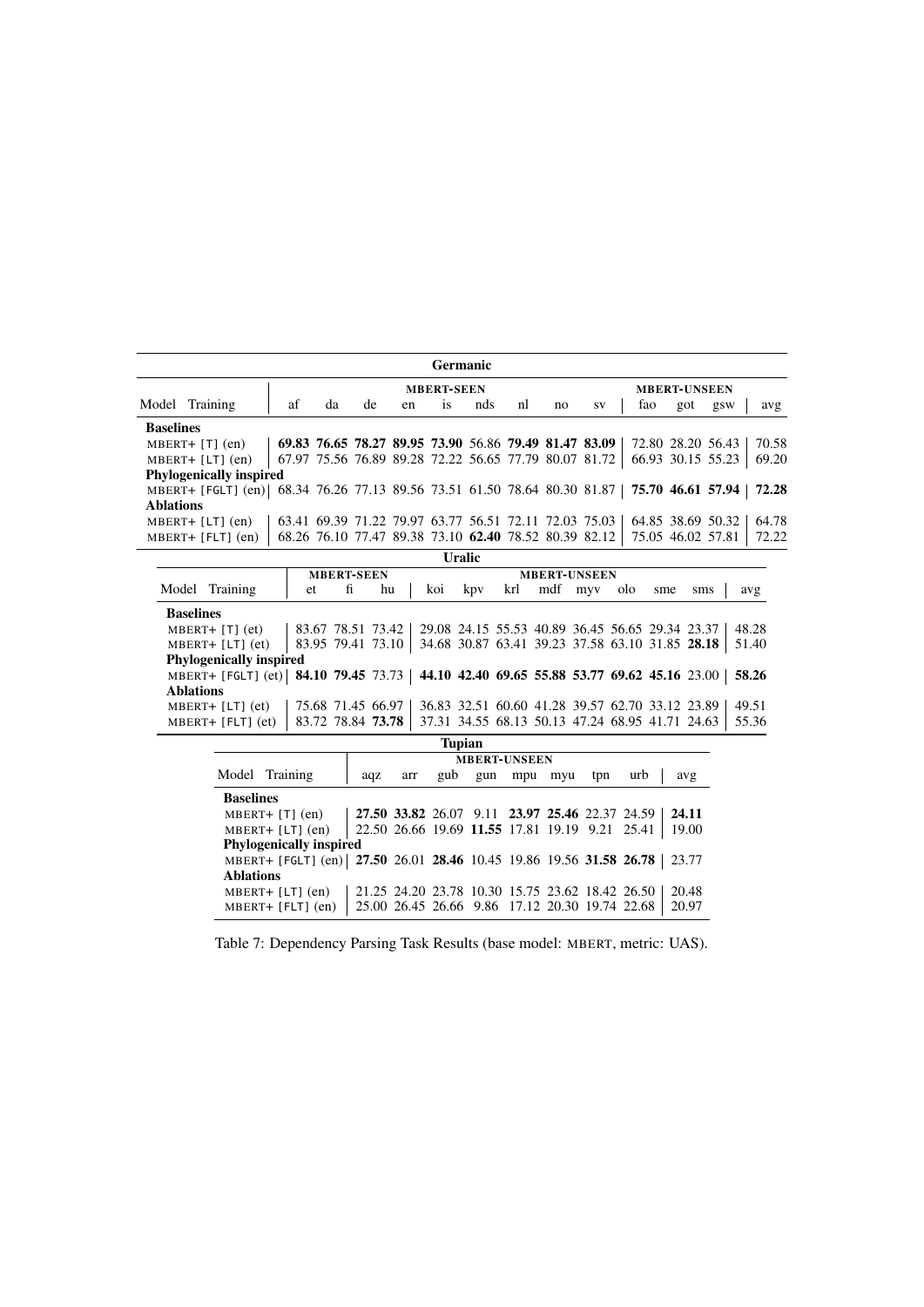<span id="page-11-0"></span>

| <b>Germanic</b>                                                                                      |                                                                                     |    |    |    |           |     |    |    |                                                       |     |     |                   |       |  |
|------------------------------------------------------------------------------------------------------|-------------------------------------------------------------------------------------|----|----|----|-----------|-----|----|----|-------------------------------------------------------|-----|-----|-------------------|-------|--|
| <b>MBERT-SEEN</b><br><b>MBERT-UNSEEN</b>                                                             |                                                                                     |    |    |    |           |     |    |    |                                                       |     |     |                   |       |  |
| Model Training                                                                                       | af                                                                                  | da | de | en | <i>is</i> | nds | nl | no | <b>SV</b>                                             | fao | got | gsw               | avg   |  |
| <b>Baselines</b>                                                                                     |                                                                                     |    |    |    |           |     |    |    |                                                       |     |     |                   |       |  |
| $MBERT+ [T] (en)$                                                                                    |                                                                                     |    |    |    |           |     |    |    | 69.83 76.65 78.27 89.95 73.90 56.86 79.49 81.47 83.09 |     |     | 72.80 28.20 56.43 | 70.58 |  |
| $MBERT+ [LT] (en)$                                                                                   |                                                                                     |    |    |    |           |     |    |    | 67.97 75.56 76.89 89.28 72.22 56.65 77.79 80.07 81.72 |     |     | 66.93 30.15 55.23 | 69.20 |  |
| <b>Phylogenically inspired</b>                                                                       |                                                                                     |    |    |    |           |     |    |    |                                                       |     |     |                   |       |  |
| MBERT+ [FGLT] (en) 68.34 76.26 77.13 89.56 73.51 61.50 78.64 80.30 81.87   75.70 46.61 57.94   72.28 |                                                                                     |    |    |    |           |     |    |    |                                                       |     |     |                   |       |  |
| <b>Ablations</b>                                                                                     |                                                                                     |    |    |    |           |     |    |    |                                                       |     |     |                   |       |  |
| $MBERT+ [LT] (en)$                                                                                   |                                                                                     |    |    |    |           |     |    |    | 63.41 69.39 71.22 79.97 63.77 56.51 72.11 72.03 75.03 |     |     | 64.85 38.69 50.32 | 64.78 |  |
| $MBERT+ [FLT] (en)$                                                                                  | 68.26 76.10 77.47 89.38 73.10 62.40 78.52 80.39 82.12<br>72.22<br>75.05 46.02 57.81 |    |    |    |           |     |    |    |                                                       |     |     |                   |       |  |
|                                                                                                      | Uralic                                                                              |    |    |    |           |     |    |    |                                                       |     |     |                   |       |  |

|                                                                                        |    |                   |                                                                   |                                                 | .   |                     |     |     |                                                 |       |
|----------------------------------------------------------------------------------------|----|-------------------|-------------------------------------------------------------------|-------------------------------------------------|-----|---------------------|-----|-----|-------------------------------------------------|-------|
|                                                                                        |    | <b>MBERT-SEEN</b> |                                                                   |                                                 |     | <b>MBERT-UNSEEN</b> |     |     |                                                 |       |
| Model Training                                                                         | et | fi                | hu                                                                | koi                                             | kpy | krl mdf myv         | olo | sme | sms                                             | avg   |
| <b>Baselines</b>                                                                       |    |                   |                                                                   |                                                 |     |                     |     |     |                                                 |       |
| $MBERT+ [T] (et)$                                                                      |    |                   | 83.67 78.51 73.42 29.08 24.15 55.53 40.89 36.45 56.65 29.34 23.37 |                                                 |     |                     |     |     |                                                 | 48.28 |
| $MBERT+ [LT] (et)$                                                                     |    |                   | 83.95 79.41 73.10 34.68 30.87 63.41 39.23 37.58 63.10 31.85 28.18 |                                                 |     |                     |     |     |                                                 | 51.40 |
| <b>Phylogenically inspired</b>                                                         |    |                   |                                                                   |                                                 |     |                     |     |     |                                                 |       |
| MBERT+ [FGLT] (et) 84.10 79.45 73.73   44.10 42.40 69.65 55.88 53.77 69.62 45.16 23.00 |    |                   |                                                                   |                                                 |     |                     |     |     |                                                 | 58.26 |
| <b>Ablations</b>                                                                       |    |                   |                                                                   |                                                 |     |                     |     |     |                                                 |       |
| $MBERT+ [LT] (et)$                                                                     |    |                   | 75.68 71.45 66.97                                                 |                                                 |     |                     |     |     | 36.83 32.51 60.60 41.28 39.57 62.70 33.12 23.89 | 49.51 |
| $MBERT + [FLT] (et)$                                                                   |    |                   | 83.72 78.84 73.78                                                 | 37.31 34.55 68.13 50.13 47.24 68.95 41.71 24.63 |     |                     |     |     |                                                 | 55.36 |

|                  | <b>Tupian</b>                                                      |     |     |                                                |     |                     |     |     |                                                 |       |  |  |
|------------------|--------------------------------------------------------------------|-----|-----|------------------------------------------------|-----|---------------------|-----|-----|-------------------------------------------------|-------|--|--|
|                  |                                                                    |     |     |                                                |     | <b>MBERT-UNSEEN</b> |     |     |                                                 |       |  |  |
|                  | Model Training                                                     | aqz | arr | gub                                            | gun | mpu                 | myu | tpn | urb                                             | avg   |  |  |
| <b>Baselines</b> |                                                                    |     |     |                                                |     |                     |     |     |                                                 |       |  |  |
|                  | $MBERT+ [T] (en)$                                                  |     |     | 27.50 33.82 26.07 9.11 23.97 25.46 22.37 24.59 |     |                     |     |     |                                                 | 24.11 |  |  |
|                  | $MBERT+ [LT] (en)$                                                 |     |     | 22.50 26.66 19.69 11.55 17.81 19.19 9.21 25.41 |     |                     |     |     |                                                 | 19.00 |  |  |
|                  | <b>Phylogenically inspired</b>                                     |     |     |                                                |     |                     |     |     |                                                 |       |  |  |
|                  | MBERT+ [FGLT] (en) 27.50 26.01 28.46 10.45 19.86 19.56 31.58 26.78 |     |     |                                                |     |                     |     |     |                                                 | 23.77 |  |  |
| <b>Ablations</b> |                                                                    |     |     |                                                |     |                     |     |     |                                                 |       |  |  |
|                  | $MBERT+ [LT] (en)$                                                 |     |     |                                                |     |                     |     |     | 21.25 24.20 23.78 10.30 15.75 23.62 18.42 26.50 | 20.48 |  |  |
|                  | $MBERT + [FLT] (en)$                                               |     |     | 25.00 26.45 26.66 9.86 17.12 20.30 19.74 22.68 |     |                     |     |     |                                                 | 20.97 |  |  |

Table 7: Dependency Parsing Task Results (base model: MBERT, metric: UAS).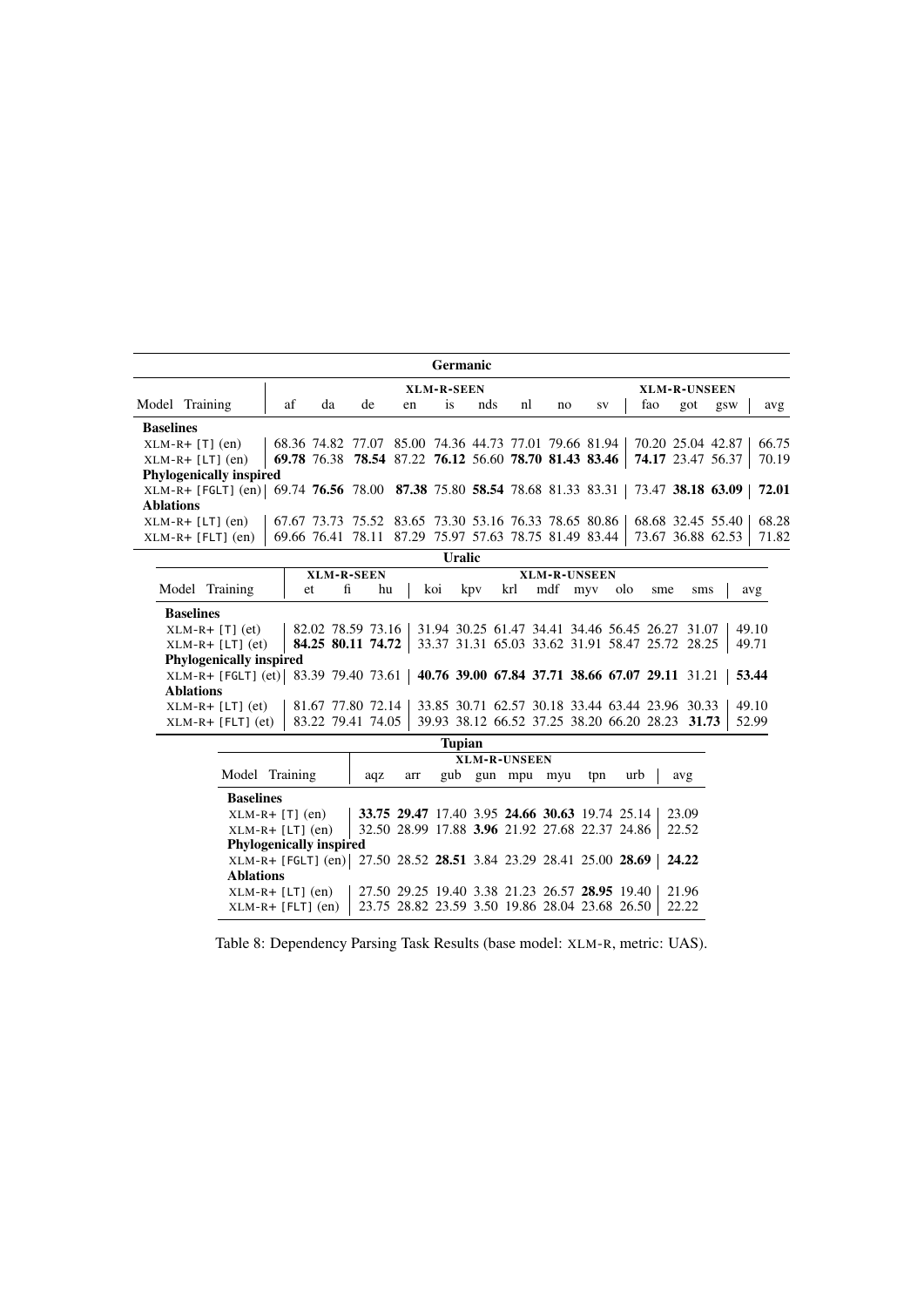<span id="page-12-0"></span>

| <b>Germanic</b>                                                                                  |    |    |                                                       |    |           |     |    |    |    |     |                   |                          |       |
|--------------------------------------------------------------------------------------------------|----|----|-------------------------------------------------------|----|-----------|-----|----|----|----|-----|-------------------|--------------------------|-------|
| XLM-R-SEEN<br><b>XLM-R-UNSEEN</b>                                                                |    |    |                                                       |    |           |     |    |    |    |     |                   |                          |       |
| Model Training                                                                                   | af | da | de                                                    | en | <b>1S</b> | nds | nl | no | SV | tao | got               | gsw                      | avg   |
| <b>Baselines</b>                                                                                 |    |    |                                                       |    |           |     |    |    |    |     |                   |                          |       |
| $XLM-R+ [T] (en)$                                                                                |    |    | 68.36 74.82 77.07 85.00 74.36 44.73 77.01 79.66 81.94 |    |           |     |    |    |    |     | 70.20 25.04 42.87 |                          | 66.75 |
| $XLM-R+ [LT]$ (en)                                                                               |    |    | 69.78 76.38 78.54 87.22 76.12 56.60 78.70 81.43 83.46 |    |           |     |    |    |    |     |                   | <b>74.17</b> 23.47 56.37 | 70.19 |
| <b>Phylogenically inspired</b>                                                                   |    |    |                                                       |    |           |     |    |    |    |     |                   |                          |       |
| XLM-R+ [FGLT] (en) 69.74 76.56 78.00 87.38 75.80 58.54 78.68 81.33 83.31 73.47 38.18 63.09 72.01 |    |    |                                                       |    |           |     |    |    |    |     |                   |                          |       |
| <b>Ablations</b>                                                                                 |    |    |                                                       |    |           |     |    |    |    |     |                   |                          |       |
| $XLM-R+ [LT]$ (en)                                                                               |    |    | 67.67 73.73 75.52 83.65 73.30 53.16 76.33 78.65 80.86 |    |           |     |    |    |    |     | 68.68 32.45 55.40 |                          | 68.28 |
| $XLM-R+ [FLT] (en)$                                                                              |    |    | 69.66 76.41 78.11 87.29 75.97 57.63 78.75 81.49 83.44 |    |           |     |    |    |    |     |                   | 73.67 36.88 62.53        | 71.82 |
| <b>Hralic</b>                                                                                    |    |    |                                                       |    |           |     |    |    |    |     |                   |                          |       |

| <u>vianu</u>                                                                                                                                          |    |                   |                   |     |        |     |                     |     |     |                                                 |                                                 |       |  |
|-------------------------------------------------------------------------------------------------------------------------------------------------------|----|-------------------|-------------------|-----|--------|-----|---------------------|-----|-----|-------------------------------------------------|-------------------------------------------------|-------|--|
|                                                                                                                                                       |    | <b>XLM-R-SEEN</b> |                   |     |        |     | <b>XLM-R-UNSEEN</b> |     |     |                                                 |                                                 |       |  |
| Model Training                                                                                                                                        | et | fi                | hu                | koi | kpy    | krl | mdf                 | myy | olo | sme                                             | sms                                             | avg   |  |
| <b>Baselines</b>                                                                                                                                      |    |                   |                   |     |        |     |                     |     |     |                                                 |                                                 |       |  |
| 82.02 78.59 73.16<br>49.10<br>31.94 30.25 61.47 34.41 34.46 56.45 26.27 31.07<br>$XLM-R+ [T]$ (et)<br>33.37 31.31 65.03 33.62 31.91 58.47 25.72 28.25 |    |                   |                   |     |        |     |                     |     |     |                                                 |                                                 |       |  |
| $XLM-R+ [LT]$ (et)                                                                                                                                    |    |                   | 84.25 80.11 74.72 |     |        |     |                     |     |     |                                                 |                                                 | 49.71 |  |
| <b>Phylogenically inspired</b>                                                                                                                        |    |                   |                   |     |        |     |                     |     |     |                                                 |                                                 |       |  |
| XLM-R+ [FGLT] (et) 83.39 79.40 73.61   40.76 39.00 67.84 37.71 38.66 67.07 29.11 31.21                                                                |    |                   |                   |     |        |     |                     |     |     |                                                 |                                                 | 53.44 |  |
| <b>Ablations</b>                                                                                                                                      |    |                   |                   |     |        |     |                     |     |     |                                                 |                                                 |       |  |
| $XLM-R+ [LT]$ (et)                                                                                                                                    |    |                   | 81.67 77.80 72.14 |     |        |     |                     |     |     | 33.85 30.71 62.57 30.18 33.44 63.44 23.96 30.33 |                                                 | 49.10 |  |
| $XLM-R+ [FLT] (et)$                                                                                                                                   |    |                   | 83.22 79.41 74.05 |     |        |     |                     |     |     |                                                 | 39.93 38.12 66.52 37.25 38.20 66.20 28.23 31.73 | 52.99 |  |
|                                                                                                                                                       |    |                   |                   |     | Tunian |     |                     |     |     |                                                 |                                                 |       |  |

|                  |                                                                   |     |     | Tupian |     |                     |                                                |     |                                                |       |
|------------------|-------------------------------------------------------------------|-----|-----|--------|-----|---------------------|------------------------------------------------|-----|------------------------------------------------|-------|
|                  |                                                                   |     |     |        |     | <b>XLM-R-UNSEEN</b> |                                                |     |                                                |       |
|                  | Model Training                                                    | aqz | arr | gub    | gun | mpu                 | myu                                            | tpn | urb                                            | avg   |
| <b>Baselines</b> |                                                                   |     |     |        |     |                     |                                                |     |                                                |       |
|                  | $XLM-R+ [T] (en)$                                                 |     |     |        |     |                     | 33.75 29.47 17.40 3.95 24.66 30.63 19.74 25.14 |     |                                                | 23.09 |
|                  | $XLM-R+ [LT]$ (en)                                                |     |     |        |     |                     |                                                |     | 32.50 28.99 17.88 3.96 21.92 27.68 22.37 24.86 | 22.52 |
|                  | <b>Phylogenically inspired</b>                                    |     |     |        |     |                     |                                                |     |                                                |       |
|                  | XLM-R+ [FGLT] (en) 27.50 28.52 28.51 3.84 23.29 28.41 25.00 28.69 |     |     |        |     |                     |                                                |     |                                                | 24.22 |
| <b>Ablations</b> |                                                                   |     |     |        |     |                     |                                                |     |                                                |       |
|                  | $XLM-R+ [LT]$ (en)                                                |     |     |        |     |                     | 27.50 29.25 19.40 3.38 21.23 26.57 28.95 19.40 |     |                                                | 21.96 |
|                  | $XLM-R+ [FLT] (en)$                                               |     |     |        |     |                     | 23.75 28.82 23.59 3.50 19.86 28.04 23.68 26.50 |     |                                                | 22.22 |

Table 8: Dependency Parsing Task Results (base model: XLM-R, metric: UAS).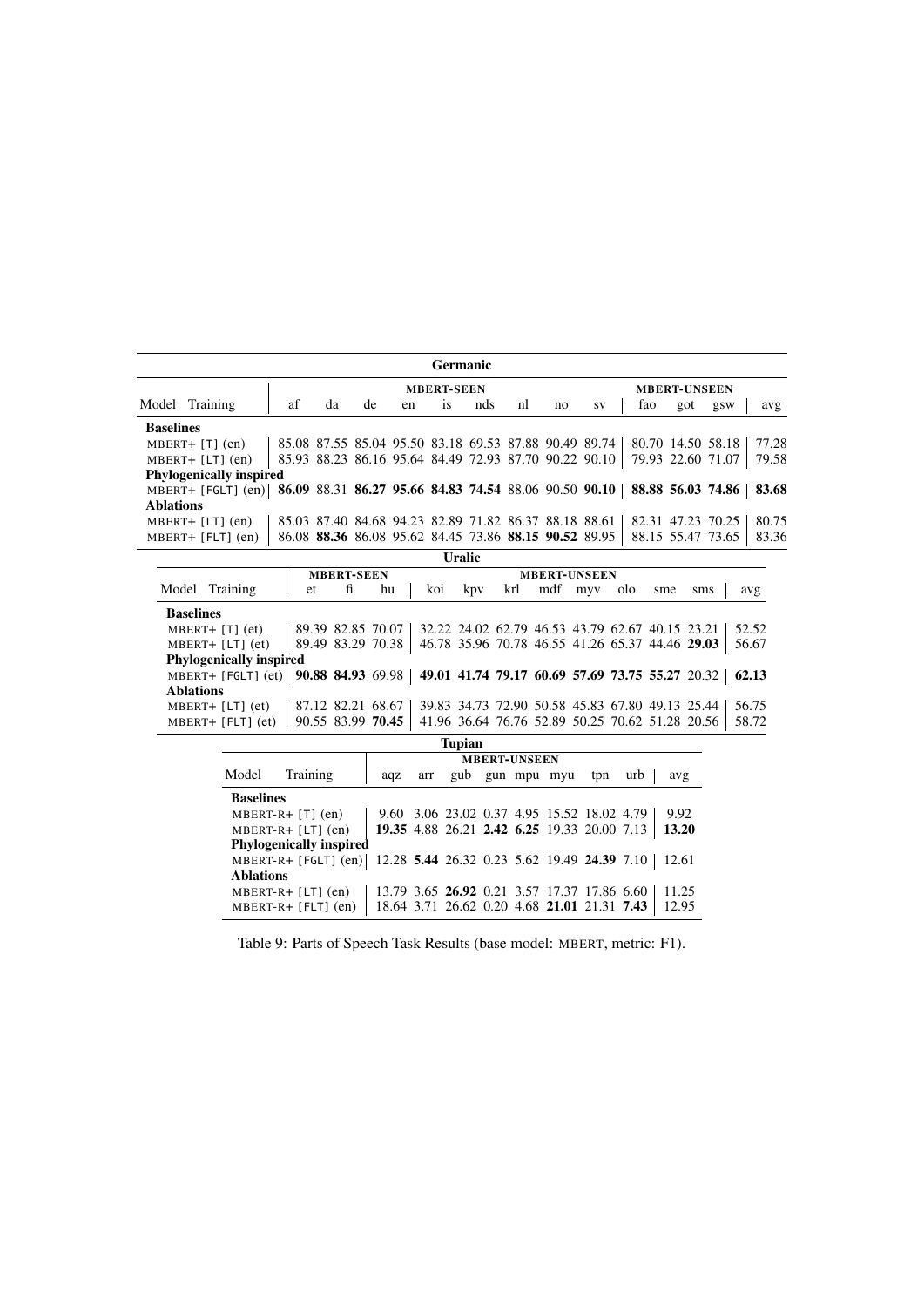<span id="page-13-0"></span>

|                  |                                                                                                      |    |    |    |    | <b>Germanic</b> |     |    |    |                                                       |     |     |                   |       |
|------------------|------------------------------------------------------------------------------------------------------|----|----|----|----|-----------------|-----|----|----|-------------------------------------------------------|-----|-----|-------------------|-------|
|                  | <b>MBERT-SEEN</b><br><b>MBERT-UNSEEN</b>                                                             |    |    |    |    |                 |     |    |    |                                                       |     |     |                   |       |
|                  | Model Training                                                                                       | af | da | de | en | <i>is</i>       | nds | nl | no | SV                                                    | tao | got | gsw               | avg   |
| <b>Baselines</b> |                                                                                                      |    |    |    |    |                 |     |    |    |                                                       |     |     |                   |       |
|                  | $MBERT+ [T] (en)$                                                                                    |    |    |    |    |                 |     |    |    | 85.08 87.55 85.04 95.50 83.18 69.53 87.88 90.49 89.74 |     |     | 80.70 14.50 58.18 | 77.28 |
|                  | $MBERT+ [LT] (en)$                                                                                   |    |    |    |    |                 |     |    |    | 85.93 88.23 86.16 95.64 84.49 72.93 87.70 90.22 90.10 |     |     | 79.93 22.60 71.07 | 79.58 |
|                  | <b>Phylogenically inspired</b>                                                                       |    |    |    |    |                 |     |    |    |                                                       |     |     |                   |       |
|                  | MBERT+ [FGLT] (en) 86.09 88.31 86.27 95.66 84.83 74.54 88.06 90.50 90.10   88.88 56.03 74.86   83.68 |    |    |    |    |                 |     |    |    |                                                       |     |     |                   |       |
| <b>Ablations</b> |                                                                                                      |    |    |    |    |                 |     |    |    |                                                       |     |     |                   |       |
|                  | $MBERT+ [LT] (en)$                                                                                   |    |    |    |    |                 |     |    |    | 85.03 87.40 84.68 94.23 82.89 71.82 86.37 88.18 88.61 |     |     | 82.31 47.23 70.25 | 80.75 |
|                  | $MBERT+ [FLT] (en)$                                                                                  |    |    |    |    |                 |     |    |    | 86.08 88.36 86.08 95.62 84.45 73.86 88.15 90.52 89.95 |     |     | 88.15 55.47 73.65 | 83.36 |
|                  |                                                                                                      |    |    |    |    | <b>Uralic</b>   |     |    |    |                                                       |     |     |                   |       |

|                  |                                                                                            |     | <b>MBERT-SEEN</b> |                   |     |     | <b>MBERT-UNSEEN</b>                             |             |     |     |                                                 |       |
|------------------|--------------------------------------------------------------------------------------------|-----|-------------------|-------------------|-----|-----|-------------------------------------------------|-------------|-----|-----|-------------------------------------------------|-------|
|                  | Model Training                                                                             | et. | fi                | hu                | koi | kpy |                                                 | krl mdf myv | olo | sme | sms                                             | avg   |
| <b>Baselines</b> |                                                                                            |     |                   |                   |     |     |                                                 |             |     |     |                                                 |       |
|                  | $MBERT+ [T] (et)$                                                                          |     |                   | 89.39 82.85 70.07 |     |     | 32.22 24.02 62.79 46.53 43.79 62.67 40.15 23.21 |             |     |     |                                                 | 52.52 |
|                  | $MBERT+ [LT] (et)$                                                                         |     |                   | 89.49 83.29 70.38 |     |     |                                                 |             |     |     | 46.78 35.96 70.78 46.55 41.26 65.37 44.46 29.03 | 56.67 |
|                  | <b>Phylogenically inspired</b>                                                             |     |                   |                   |     |     |                                                 |             |     |     |                                                 |       |
|                  | MBERT+ [FGLT] (et) 90.88 84.93 69.98 49.01 41.74 79.17 60.69 57.69 73.75 55.27 20.32 62.13 |     |                   |                   |     |     |                                                 |             |     |     |                                                 |       |
| <b>Ablations</b> |                                                                                            |     |                   |                   |     |     |                                                 |             |     |     |                                                 |       |
|                  | $MBERT+ [LT] (et)$                                                                         |     |                   | 87.12 82.21 68.67 |     |     |                                                 |             |     |     | 39.83 34.73 72.90 50.58 45.83 67.80 49.13 25.44 | 56.75 |
|                  | $MBERT+ [FLT] (et)$                                                                        |     |                   | 90.55 83.99 70.45 |     |     |                                                 |             |     |     | 41.96 36.64 76.76 52.89 50.25 70.62 51.28 20.56 | 58.72 |

| <b>Tupian</b>                  |                                             |     |                                             |  |                 |  |     |     |       |  |  |  |
|--------------------------------|---------------------------------------------|-----|---------------------------------------------|--|-----------------|--|-----|-----|-------|--|--|--|
| <b>MBERT-UNSEEN</b>            |                                             |     |                                             |  |                 |  |     |     |       |  |  |  |
| Training<br>Model              | aqz                                         | arr |                                             |  | gub gun mpu myu |  | tpn | urb | avg   |  |  |  |
| <b>Baselines</b>               |                                             |     |                                             |  |                 |  |     |     |       |  |  |  |
| $MBERT-R+ [T] (en)$            |                                             |     | 9.60 3.06 23.02 0.37 4.95 15.52 18.02 4.79  |  |                 |  |     |     | 9.92  |  |  |  |
| $MBERT-R+ [LT] (en)$           |                                             |     | 19.35 4.88 26.21 2.42 6.25 19.33 20.00 7.13 |  |                 |  |     |     | 13.20 |  |  |  |
| <b>Phylogenically inspired</b> |                                             |     |                                             |  |                 |  |     |     |       |  |  |  |
| $MBERT-R+ [FGLT] (en)$         | 12.28 5.44 26.32 0.23 5.62 19.49 24.39 7.10 |     |                                             |  |                 |  |     |     | 12.61 |  |  |  |
| <b>Ablations</b>               |                                             |     |                                             |  |                 |  |     |     |       |  |  |  |
| $MBERT-R+ [LT] (en)$           |                                             |     | 13.79 3.65 26.92 0.21 3.57 17.37 17.86 6.60 |  |                 |  |     |     | 11.25 |  |  |  |
| $MBERT-R+ [FLT] (en)$          |                                             |     | 18.64 3.71 26.62 0.20 4.68 21.01 21.31 7.43 |  |                 |  |     |     | 12.95 |  |  |  |

Table 9: Parts of Speech Task Results (base model: MBERT, metric: F1).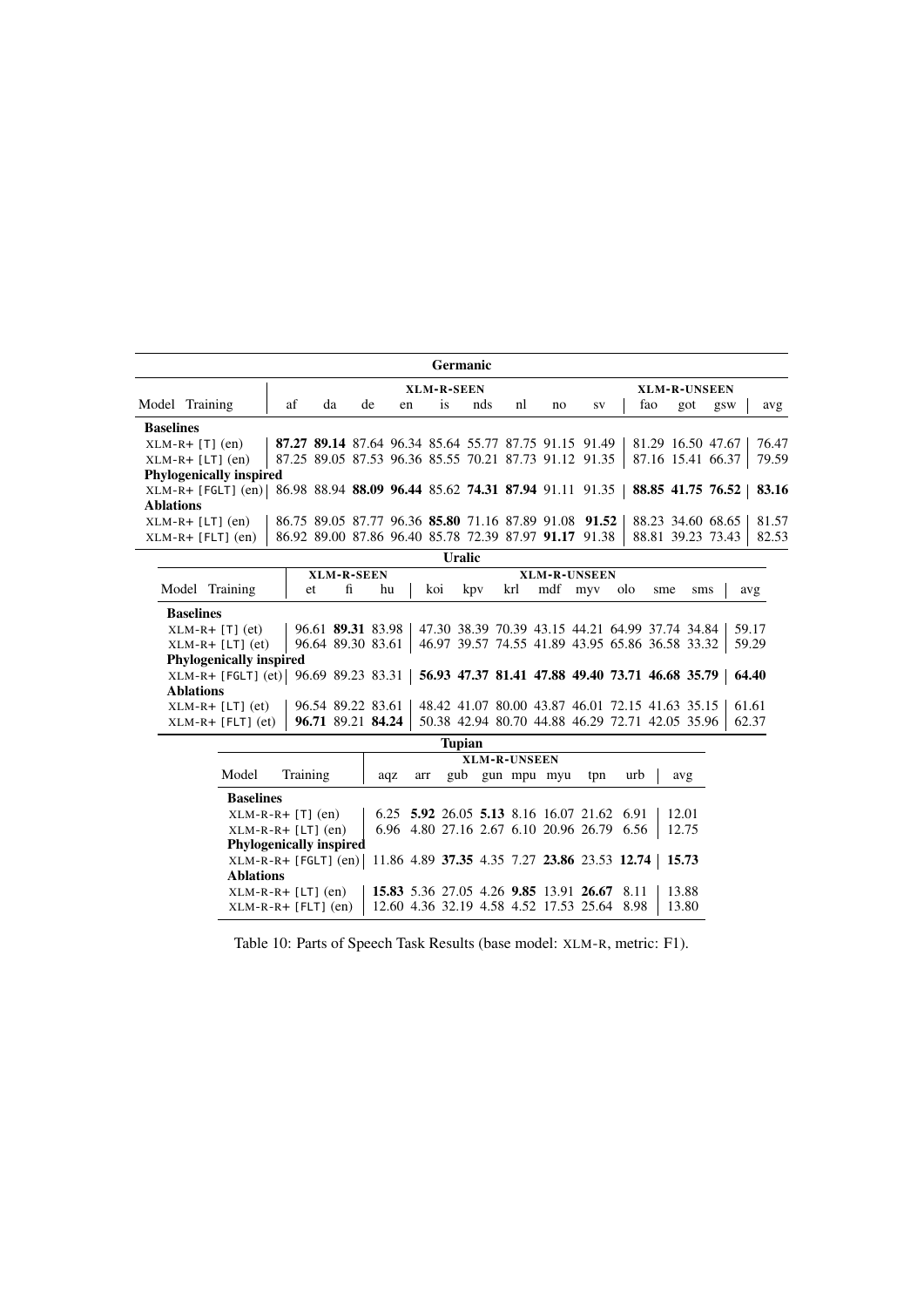<span id="page-14-0"></span>

|                  |                                                                          |    |    |    |    | <b>Germanic</b> |     |    |                                                       |                                                       |     |     |                   |       |
|------------------|--------------------------------------------------------------------------|----|----|----|----|-----------------|-----|----|-------------------------------------------------------|-------------------------------------------------------|-----|-----|-------------------|-------|
|                  | <b>XLM-R-SEEN</b><br><b>XLM-R-UNSEEN</b>                                 |    |    |    |    |                 |     |    |                                                       |                                                       |     |     |                   |       |
|                  | Model Training                                                           | af | da | de | en | <b>1S</b>       | nds | nl | no                                                    | <b>SV</b>                                             | tao | got | gsw               | avg   |
| <b>Baselines</b> |                                                                          |    |    |    |    |                 |     |    |                                                       |                                                       |     |     |                   |       |
|                  | $XLM-R+ [T] (en)$                                                        |    |    |    |    |                 |     |    | 87.27 89.14 87.64 96.34 85.64 55.77 87.75 91.15 91.49 |                                                       |     |     | 81.29 16.50 47.67 | 76.47 |
|                  | $XLM-R+ [LT]$ (en)                                                       |    |    |    |    |                 |     |    |                                                       | 87.25 89.05 87.53 96.36 85.55 70.21 87.73 91.12 91.35 |     |     | 87.16 15.41 66.37 | 79.59 |
|                  | <b>Phylogenically inspired</b>                                           |    |    |    |    |                 |     |    |                                                       |                                                       |     |     |                   |       |
|                  | XLM-R+ [FGLT] (en) 86.98 88.94 88.09 96.44 85.62 74.31 87.94 91.11 91.35 |    |    |    |    |                 |     |    |                                                       |                                                       |     |     | 88.85 41.75 76.52 | 83.16 |
| <b>Ablations</b> |                                                                          |    |    |    |    |                 |     |    |                                                       |                                                       |     |     |                   |       |
|                  | $XLM-R+ [LT]$ (en)                                                       |    |    |    |    |                 |     |    |                                                       | 86.75 89.05 87.77 96.36 85.80 71.16 87.89 91.08 91.52 |     |     | 88.23 34.60 68.65 | 81.57 |
|                  | $XLM-R+ [FLT] (en)$                                                      |    |    |    |    |                 |     |    |                                                       | 86.92 89.00 87.86 96.40 85.78 72.39 87.97 91.17 91.38 |     |     | 88.81 39.23 73.43 | 82.53 |
|                  |                                                                          |    |    |    |    | <b>Healic</b>   |     |    |                                                       |                                                       |     |     |                   |       |

|                                                                                        | <u> UL 41I</u>                           |                   |                   |     |        |     |  |         |     |     |                                                 |       |  |  |
|----------------------------------------------------------------------------------------|------------------------------------------|-------------------|-------------------|-----|--------|-----|--|---------|-----|-----|-------------------------------------------------|-------|--|--|
|                                                                                        | <b>XLM-R-SEEN</b><br><b>XLM-R-UNSEEN</b> |                   |                   |     |        |     |  |         |     |     |                                                 |       |  |  |
| Model Training                                                                         | et.                                      | fi                | hu                | koi | kpy    | krl |  | mdf myy | olo | sme | sms                                             | avg   |  |  |
| <b>Baselines</b>                                                                       |                                          |                   |                   |     |        |     |  |         |     |     |                                                 |       |  |  |
| $XLM-R+ [T]$ (et)                                                                      |                                          |                   | 96.61 89.31 83.98 |     |        |     |  |         |     |     | 47.30 38.39 70.39 43.15 44.21 64.99 37.74 34.84 | 59.17 |  |  |
| $XLM-R+ [LT]$ (et)                                                                     |                                          |                   | 96.64 89.30 83.61 |     |        |     |  |         |     |     | 46.97 39.57 74.55 41.89 43.95 65.86 36.58 33.32 | 59.29 |  |  |
| <b>Phylogenically inspired</b>                                                         |                                          |                   |                   |     |        |     |  |         |     |     |                                                 |       |  |  |
| XLM-R+ [FGLT] (et) 96.69 89.23 83.31   56.93 47.37 81.41 47.88 49.40 73.71 46.68 35.79 |                                          |                   |                   |     |        |     |  |         |     |     |                                                 | 64.40 |  |  |
| <b>Ablations</b>                                                                       |                                          |                   |                   |     |        |     |  |         |     |     |                                                 |       |  |  |
| $XLM-R+ [LT]$ (et)                                                                     |                                          | 96.54 89.22 83.61 |                   |     |        |     |  |         |     |     | 48.42 41.07 80.00 43.87 46.01 72.15 41.63 35.15 | 61.61 |  |  |
| $XLM-R+ [FLT] (et)$                                                                    |                                          |                   | 96.71 89.21 84.24 |     |        |     |  |         |     |     | 50.38 42.94 80.70 44.88 46.29 72.71 42.05 35.96 | 62.37 |  |  |
|                                                                                        |                                          |                   |                   |     | Tunian |     |  |         |     |     |                                                 |       |  |  |

|                  |                                |     |     | Tupian |  |  |                 |                                             |                                              |       |  |  |  |  |
|------------------|--------------------------------|-----|-----|--------|--|--|-----------------|---------------------------------------------|----------------------------------------------|-------|--|--|--|--|
|                  | <b>XLM-R-UNSEEN</b>            |     |     |        |  |  |                 |                                             |                                              |       |  |  |  |  |
| Model            | Training                       | aqz | arr |        |  |  | gub gun mpu myu | tpn                                         | urb                                          | avg   |  |  |  |  |
| <b>Baselines</b> |                                |     |     |        |  |  |                 |                                             |                                              |       |  |  |  |  |
|                  | $XLM-R-R+ [T] (en)$            |     |     |        |  |  |                 | 6.25 5.92 26.05 5.13 8.16 16.07 21.62 6.91  |                                              | 12.01 |  |  |  |  |
|                  | $XLM-R-R+ [LT]$ (en)           |     |     |        |  |  |                 | 6.96 4.80 27.16 2.67 6.10 20.96 26.79 6.56  |                                              | 12.75 |  |  |  |  |
|                  | <b>Phylogenically inspired</b> |     |     |        |  |  |                 |                                             |                                              |       |  |  |  |  |
|                  | $XLM-R-R+ [FGLT] (en)$         |     |     |        |  |  |                 |                                             | 11.86 4.89 37.35 4.35 7.27 23.86 23.53 12.74 | 15.73 |  |  |  |  |
| <b>Ablations</b> |                                |     |     |        |  |  |                 |                                             |                                              |       |  |  |  |  |
|                  | $XLM-R-R+ [LT]$ (en)           |     |     |        |  |  |                 | 15.83 5.36 27.05 4.26 9.85 13.91 26.67 8.11 |                                              | 13.88 |  |  |  |  |
|                  | $XLM-R-R+ [FLT] (en)$          |     |     |        |  |  |                 | 12.60 4.36 32.19 4.58 4.52 17.53 25.64 8.98 |                                              | 13.80 |  |  |  |  |

Table 10: Parts of Speech Task Results (base model: XLM-R, metric: F1).